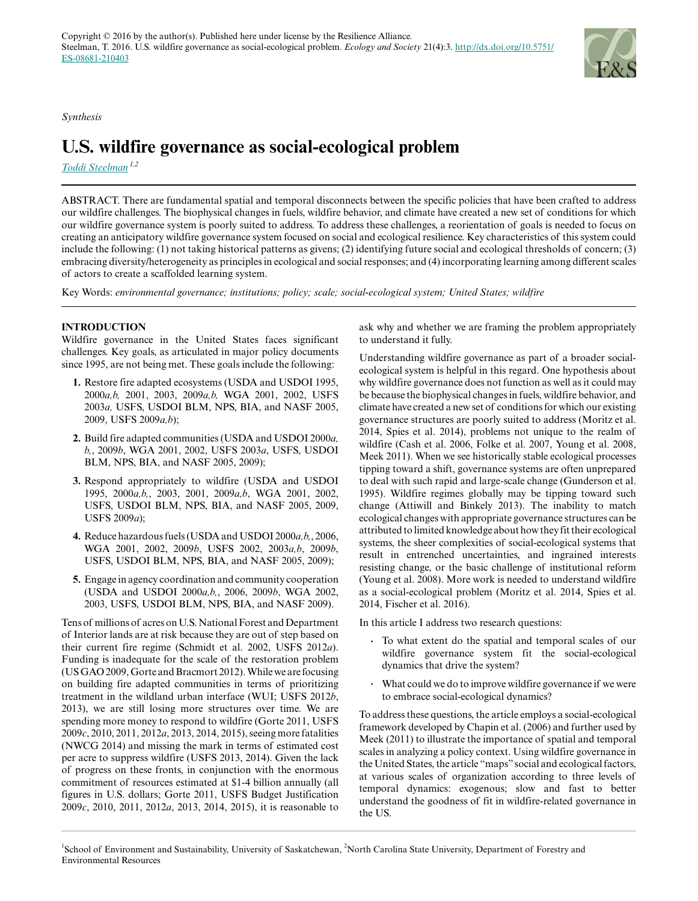*Synthesis*

# **U.S. wildfire governance as social-ecological problem**

*[Toddi Steelman](mailto:toddi.steelman@usask.ca) 1,2*

ABSTRACT. There are fundamental spatial and temporal disconnects between the specific policies that have been crafted to address our wildfire challenges. The biophysical changes in fuels, wildfire behavior, and climate have created a new set of conditions for which our wildfire governance system is poorly suited to address. To address these challenges, a reorientation of goals is needed to focus on creating an anticipatory wildfire governance system focused on social and ecological resilience. Key characteristics of this system could include the following: (1) not taking historical patterns as givens; (2) identifying future social and ecological thresholds of concern; (3) embracing diversity/heterogeneity as principles in ecological and social responses; and (4) incorporating learning among different scales of actors to create a scaffolded learning system.

Key Words: *environmental governance; institutions; policy; scale; social-ecological system; United States; wildfire*

# **INTRODUCTION**

Wildfire governance in the United States faces significant challenges. Key goals, as articulated in major policy documents since 1995, are not being met. These goals include the following:

- **1.** Restore fire adapted ecosystems (USDA and USDOI 1995, 2000*a,b,* 2001, 2003, 2009*a,b,* WGA 2001, 2002, USFS 2003*a,* USFS, USDOI BLM, NPS, BIA, and NASF 2005, 2009, USFS 2009*a,b*);
- **2.** Build fire adapted communities (USDA and USDOI 2000*a, b,*, 2009*b*, WGA 2001, 2002, USFS 2003*a*, USFS, USDOI BLM, NPS, BIA, and NASF 2005, 2009);
- **3.** Respond appropriately to wildfire (USDA and USDOI 1995, 2000*a,b,*, 2003, 2001, 2009*a,b*, WGA 2001, 2002, USFS, USDOI BLM, NPS, BIA, and NASF 2005, 2009, USFS 2009*a*);
- **4.** Reduce hazardous fuels (USDA and USDOI 2000*a,b,*, 2006, WGA 2001, 2002, 2009*b*, USFS 2002, 2003*a,b*, 2009*b*, USFS, USDOI BLM, NPS, BIA, and NASF 2005, 2009);
- **5.** Engage in agency coordination and community cooperation (USDA and USDOI 2000*a,b,*, 2006, 2009*b*, WGA 2002, 2003, USFS, USDOI BLM, NPS, BIA, and NASF 2009).

Tens of millions of acres on U.S. National Forest and Department of Interior lands are at risk because they are out of step based on their current fire regime (Schmidt et al. 2002, USFS 2012*a*). Funding is inadequate for the scale of the restoration problem (US GAO 2009, Gorte and Bracmort 2012). While we are focusing on building fire adapted communities in terms of prioritizing treatment in the wildland urban interface (WUI; USFS 2012*b*, 2013), we are still losing more structures over time. We are spending more money to respond to wildfire (Gorte 2011, USFS 2009*c*, 2010, 2011, 2012*a*, 2013, 2014, 2015), seeing more fatalities (NWCG 2014) and missing the mark in terms of estimated cost per acre to suppress wildfire (USFS 2013, 2014). Given the lack of progress on these fronts, in conjunction with the enormous commitment of resources estimated at \$1-4 billion annually (all figures in U.S. dollars; Gorte 2011, USFS Budget Justification 2009*c*, 2010, 2011, 2012*a*, 2013, 2014, 2015), it is reasonable to

ask why and whether we are framing the problem appropriately to understand it fully.

Understanding wildfire governance as part of a broader socialecological system is helpful in this regard. One hypothesis about why wildfire governance does not function as well as it could may be because the biophysical changes in fuels, wildfire behavior, and climate have created a new set of conditions for which our existing governance structures are poorly suited to address (Moritz et al. 2014, Spies et al. 2014), problems not unique to the realm of wildfire (Cash et al. 2006, Folke et al. 2007, Young et al. 2008, Meek 2011). When we see historically stable ecological processes tipping toward a shift, governance systems are often unprepared to deal with such rapid and large-scale change (Gunderson et al. 1995). Wildfire regimes globally may be tipping toward such change (Attiwill and Binkely 2013). The inability to match ecological changes with appropriate governance structures can be attributed to limited knowledge about how they fit their ecological systems, the sheer complexities of social-ecological systems that result in entrenched uncertainties, and ingrained interests resisting change, or the basic challenge of institutional reform (Young et al. 2008). More work is needed to understand wildfire as a social-ecological problem (Moritz et al. 2014, Spies et al. 2014, Fischer et al. 2016).

In this article I address two research questions:

- **.** To what extent do the spatial and temporal scales of our wildfire governance system fit the social-ecological dynamics that drive the system?
- **.** What could we do to improve wildfire governance if we were to embrace social-ecological dynamics?

To address these questions, the article employs a social-ecological framework developed by Chapin et al. (2006) and further used by Meek (2011) to illustrate the importance of spatial and temporal scales in analyzing a policy context. Using wildfire governance in the United States, the article "maps" social and ecological factors, at various scales of organization according to three levels of temporal dynamics: exogenous; slow and fast to better understand the goodness of fit in wildfire-related governance in the US.

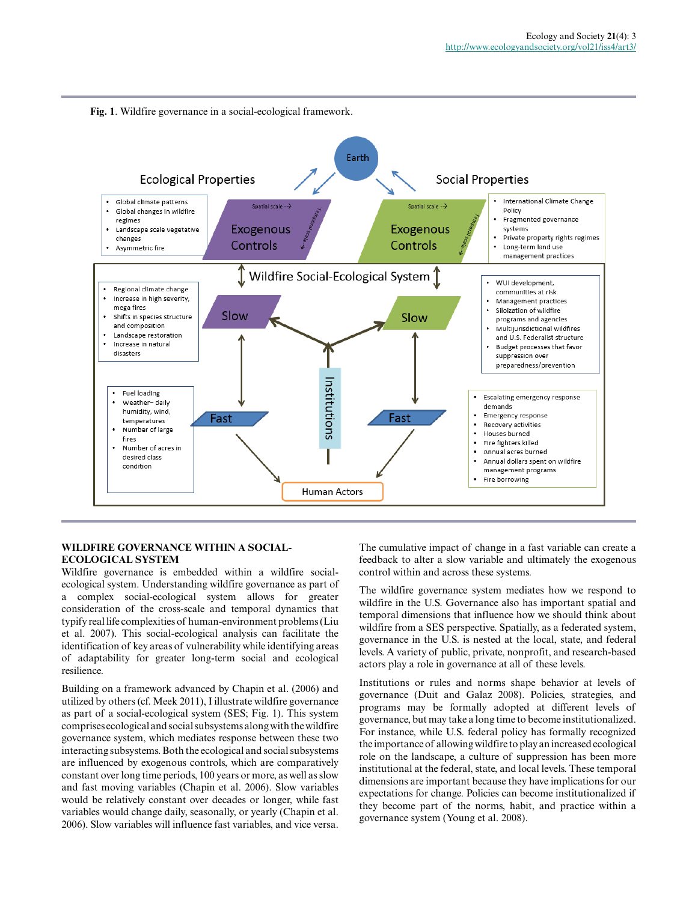

# **WILDFIRE GOVERNANCE WITHIN A SOCIAL-ECOLOGICAL SYSTEM**

Wildfire governance is embedded within a wildfire socialecological system. Understanding wildfire governance as part of a complex social-ecological system allows for greater consideration of the cross-scale and temporal dynamics that typify real life complexities of human-environment problems (Liu et al. 2007). This social-ecological analysis can facilitate the identification of key areas of vulnerability while identifying areas of adaptability for greater long-term social and ecological resilience.

Building on a framework advanced by Chapin et al. (2006) and utilized by others (cf. Meek 2011), I illustrate wildfire governance as part of a social-ecological system (SES; Fig. 1). This system comprises ecological and social subsystems along with the wildfire governance system, which mediates response between these two interacting subsystems. Both the ecological and social subsystems are influenced by exogenous controls, which are comparatively constant over long time periods, 100 years or more, as well as slow and fast moving variables (Chapin et al. 2006). Slow variables would be relatively constant over decades or longer, while fast variables would change daily, seasonally, or yearly (Chapin et al. 2006). Slow variables will influence fast variables, and vice versa. The cumulative impact of change in a fast variable can create a feedback to alter a slow variable and ultimately the exogenous control within and across these systems.

The wildfire governance system mediates how we respond to wildfire in the U.S. Governance also has important spatial and temporal dimensions that influence how we should think about wildfire from a SES perspective. Spatially, as a federated system, governance in the U.S. is nested at the local, state, and federal levels. A variety of public, private, nonprofit, and research-based actors play a role in governance at all of these levels.

Institutions or rules and norms shape behavior at levels of governance (Duit and Galaz 2008). Policies, strategies, and programs may be formally adopted at different levels of governance, but may take a long time to become institutionalized. For instance, while U.S. federal policy has formally recognized the importance of allowing wildfire to play an increased ecological role on the landscape, a culture of suppression has been more institutional at the federal, state, and local levels. These temporal dimensions are important because they have implications for our expectations for change. Policies can become institutionalized if they become part of the norms, habit, and practice within a governance system (Young et al. 2008).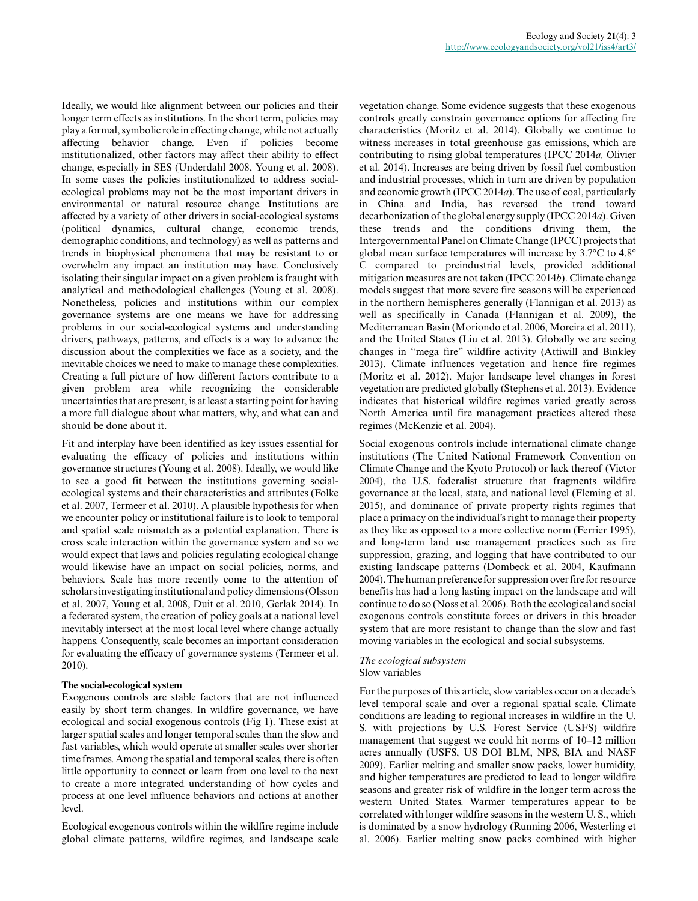Ideally, we would like alignment between our policies and their longer term effects as institutions. In the short term, policies may play a formal, symbolic role in effecting change, while not actually affecting behavior change. Even if policies become institutionalized, other factors may affect their ability to effect change, especially in SES (Underdahl 2008, Young et al. 2008). In some cases the policies institutionalized to address socialecological problems may not be the most important drivers in environmental or natural resource change. Institutions are affected by a variety of other drivers in social-ecological systems (political dynamics, cultural change, economic trends, demographic conditions, and technology) as well as patterns and trends in biophysical phenomena that may be resistant to or overwhelm any impact an institution may have. Conclusively isolating their singular impact on a given problem is fraught with analytical and methodological challenges (Young et al. 2008). Nonetheless, policies and institutions within our complex governance systems are one means we have for addressing problems in our social-ecological systems and understanding drivers, pathways, patterns, and effects is a way to advance the discussion about the complexities we face as a society, and the inevitable choices we need to make to manage these complexities. Creating a full picture of how different factors contribute to a given problem area while recognizing the considerable uncertainties that are present, is at least a starting point for having a more full dialogue about what matters, why, and what can and should be done about it.

Fit and interplay have been identified as key issues essential for evaluating the efficacy of policies and institutions within governance structures (Young et al. 2008). Ideally, we would like to see a good fit between the institutions governing socialecological systems and their characteristics and attributes (Folke et al. 2007, Termeer et al. 2010). A plausible hypothesis for when we encounter policy or institutional failure is to look to temporal and spatial scale mismatch as a potential explanation. There is cross scale interaction within the governance system and so we would expect that laws and policies regulating ecological change would likewise have an impact on social policies, norms, and behaviors. Scale has more recently come to the attention of scholars investigating institutional and policy dimensions (Olsson et al. 2007, Young et al. 2008, Duit et al. 2010, Gerlak 2014). In a federated system, the creation of policy goals at a national level inevitably intersect at the most local level where change actually happens. Consequently, scale becomes an important consideration for evaluating the efficacy of governance systems (Termeer et al. 2010).

# **The social-ecological system**

Exogenous controls are stable factors that are not influenced easily by short term changes. In wildfire governance, we have ecological and social exogenous controls (Fig 1). These exist at larger spatial scales and longer temporal scales than the slow and fast variables, which would operate at smaller scales over shorter time frames. Among the spatial and temporal scales, there is often little opportunity to connect or learn from one level to the next to create a more integrated understanding of how cycles and process at one level influence behaviors and actions at another level.

Ecological exogenous controls within the wildfire regime include global climate patterns, wildfire regimes, and landscape scale vegetation change. Some evidence suggests that these exogenous controls greatly constrain governance options for affecting fire characteristics (Moritz et al. 2014). Globally we continue to witness increases in total greenhouse gas emissions, which are contributing to rising global temperatures (IPCC 2014*a,* Olivier et al. 2014). Increases are being driven by fossil fuel combustion and industrial processes, which in turn are driven by population and economic growth (IPCC 2014*a*). The use of coal, particularly in China and India, has reversed the trend toward decarbonization of the global energy supply (IPCC 2014*a*). Given these trends and the conditions driving them, the Intergovernmental Panel on Climate Change (IPCC) projects that global mean surface temperatures will increase by 3.7°C to 4.8° C compared to preindustrial levels, provided additional mitigation measures are not taken (IPCC 2014*b*). Climate change models suggest that more severe fire seasons will be experienced in the northern hemispheres generally (Flannigan et al. 2013) as well as specifically in Canada (Flannigan et al. 2009), the Mediterranean Basin (Moriondo et al. 2006, Moreira et al. 2011), and the United States (Liu et al. 2013). Globally we are seeing changes in "mega fire" wildfire activity (Attiwill and Binkley 2013). Climate influences vegetation and hence fire regimes (Moritz et al. 2012). Major landscape level changes in forest vegetation are predicted globally (Stephens et al. 2013). Evidence indicates that historical wildfire regimes varied greatly across North America until fire management practices altered these regimes (McKenzie et al. 2004).

Social exogenous controls include international climate change institutions (The United National Framework Convention on Climate Change and the Kyoto Protocol) or lack thereof (Victor 2004), the U.S. federalist structure that fragments wildfire governance at the local, state, and national level (Fleming et al. 2015), and dominance of private property rights regimes that place a primacy on the individual's right to manage their property as they like as opposed to a more collective norm (Ferrier 1995), and long-term land use management practices such as fire suppression, grazing, and logging that have contributed to our existing landscape patterns (Dombeck et al. 2004, Kaufmann 2004). The human preference for suppression over fire for resource benefits has had a long lasting impact on the landscape and will continue to do so (Noss et al. 2006). Both the ecological and social exogenous controls constitute forces or drivers in this broader system that are more resistant to change than the slow and fast moving variables in the ecological and social subsystems.

#### *The ecological subsystem* Slow variables

For the purposes of this article, slow variables occur on a decade's level temporal scale and over a regional spatial scale. Climate conditions are leading to regional increases in wildfire in the U. S. with projections by U.S. Forest Service (USFS) wildfire management that suggest we could hit norms of 10–12 million acres annually (USFS, US DOI BLM, NPS, BIA and NASF 2009). Earlier melting and smaller snow packs, lower humidity, and higher temperatures are predicted to lead to longer wildfire seasons and greater risk of wildfire in the longer term across the western United States. Warmer temperatures appear to be correlated with longer wildfire seasons in the western U. S., which is dominated by a snow hydrology (Running 2006, Westerling et al. 2006). Earlier melting snow packs combined with higher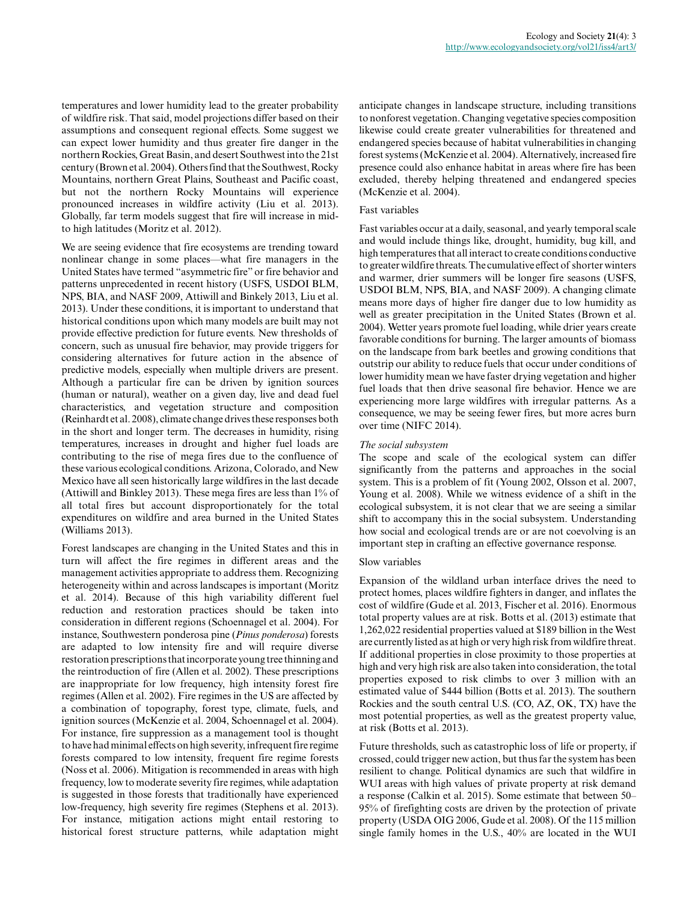temperatures and lower humidity lead to the greater probability of wildfire risk. That said, model projections differ based on their assumptions and consequent regional effects. Some suggest we can expect lower humidity and thus greater fire danger in the northern Rockies, Great Basin, and desert Southwest into the 21st century (Brown et al. 2004). Others find that the Southwest, Rocky Mountains, northern Great Plains, Southeast and Pacific coast, but not the northern Rocky Mountains will experience pronounced increases in wildfire activity (Liu et al. 2013). Globally, far term models suggest that fire will increase in midto high latitudes (Moritz et al. 2012).

We are seeing evidence that fire ecosystems are trending toward nonlinear change in some places—what fire managers in the United States have termed "asymmetric fire" or fire behavior and patterns unprecedented in recent history (USFS, USDOI BLM, NPS, BIA, and NASF 2009, Attiwill and Binkely 2013, Liu et al. 2013). Under these conditions, it is important to understand that historical conditions upon which many models are built may not provide effective prediction for future events. New thresholds of concern, such as unusual fire behavior, may provide triggers for considering alternatives for future action in the absence of predictive models, especially when multiple drivers are present. Although a particular fire can be driven by ignition sources (human or natural), weather on a given day, live and dead fuel characteristics, and vegetation structure and composition (Reinhardt et al. 2008), climate change drives these responses both in the short and longer term. The decreases in humidity, rising temperatures, increases in drought and higher fuel loads are contributing to the rise of mega fires due to the confluence of these various ecological conditions. Arizona, Colorado, and New Mexico have all seen historically large wildfires in the last decade (Attiwill and Binkley 2013). These mega fires are less than 1% of all total fires but account disproportionately for the total expenditures on wildfire and area burned in the United States (Williams 2013).

Forest landscapes are changing in the United States and this in turn will affect the fire regimes in different areas and the management activities appropriate to address them. Recognizing heterogeneity within and across landscapes is important (Moritz et al. 2014). Because of this high variability different fuel reduction and restoration practices should be taken into consideration in different regions (Schoennagel et al. 2004). For instance, Southwestern ponderosa pine (*Pinus ponderosa*) forests are adapted to low intensity fire and will require diverse restoration prescriptions that incorporate young tree thinning and the reintroduction of fire (Allen et al. 2002). These prescriptions are inappropriate for low frequency, high intensity forest fire regimes (Allen et al. 2002). Fire regimes in the US are affected by a combination of topography, forest type, climate, fuels, and ignition sources (McKenzie et al. 2004, Schoennagel et al. 2004). For instance, fire suppression as a management tool is thought to have had minimal effects on high severity, infrequent fire regime forests compared to low intensity, frequent fire regime forests (Noss et al. 2006). Mitigation is recommended in areas with high frequency, low to moderate severity fire regimes, while adaptation is suggested in those forests that traditionally have experienced low-frequency, high severity fire regimes (Stephens et al. 2013). For instance, mitigation actions might entail restoring to historical forest structure patterns, while adaptation might

anticipate changes in landscape structure, including transitions to nonforest vegetation. Changing vegetative species composition likewise could create greater vulnerabilities for threatened and endangered species because of habitat vulnerabilities in changing forest systems (McKenzie et al. 2004). Alternatively, increased fire presence could also enhance habitat in areas where fire has been excluded, thereby helping threatened and endangered species (McKenzie et al. 2004).

# Fast variables

Fast variables occur at a daily, seasonal, and yearly temporal scale and would include things like, drought, humidity, bug kill, and high temperatures that all interact to create conditions conductive to greater wildfire threats. The cumulative effect of shorter winters and warmer, drier summers will be longer fire seasons (USFS, USDOI BLM, NPS, BIA, and NASF 2009). A changing climate means more days of higher fire danger due to low humidity as well as greater precipitation in the United States (Brown et al. 2004). Wetter years promote fuel loading, while drier years create favorable conditions for burning. The larger amounts of biomass on the landscape from bark beetles and growing conditions that outstrip our ability to reduce fuels that occur under conditions of lower humidity mean we have faster drying vegetation and higher fuel loads that then drive seasonal fire behavior. Hence we are experiencing more large wildfires with irregular patterns. As a consequence, we may be seeing fewer fires, but more acres burn over time (NIFC 2014).

# *The social subsystem*

The scope and scale of the ecological system can differ significantly from the patterns and approaches in the social system. This is a problem of fit (Young 2002, Olsson et al. 2007, Young et al. 2008). While we witness evidence of a shift in the ecological subsystem, it is not clear that we are seeing a similar shift to accompany this in the social subsystem. Understanding how social and ecological trends are or are not coevolving is an important step in crafting an effective governance response.

## Slow variables

Expansion of the wildland urban interface drives the need to protect homes, places wildfire fighters in danger, and inflates the cost of wildfire (Gude et al. 2013, Fischer et al. 2016). Enormous total property values are at risk. Botts et al. (2013) estimate that 1,262,022 residential properties valued at \$189 billion in the West are currently listed as at high or very high risk from wildfire threat. If additional properties in close proximity to those properties at high and very high risk are also taken into consideration, the total properties exposed to risk climbs to over 3 million with an estimated value of \$444 billion (Botts et al. 2013). The southern Rockies and the south central U.S. (CO, AZ, OK, TX) have the most potential properties, as well as the greatest property value, at risk (Botts et al. 2013).

Future thresholds, such as catastrophic loss of life or property, if crossed, could trigger new action, but thus far the system has been resilient to change. Political dynamics are such that wildfire in WUI areas with high values of private property at risk demand a response (Calkin et al. 2015). Some estimate that between 50– 95% of firefighting costs are driven by the protection of private property (USDA OIG 2006, Gude et al. 2008). Of the 115 million single family homes in the U.S., 40% are located in the WUI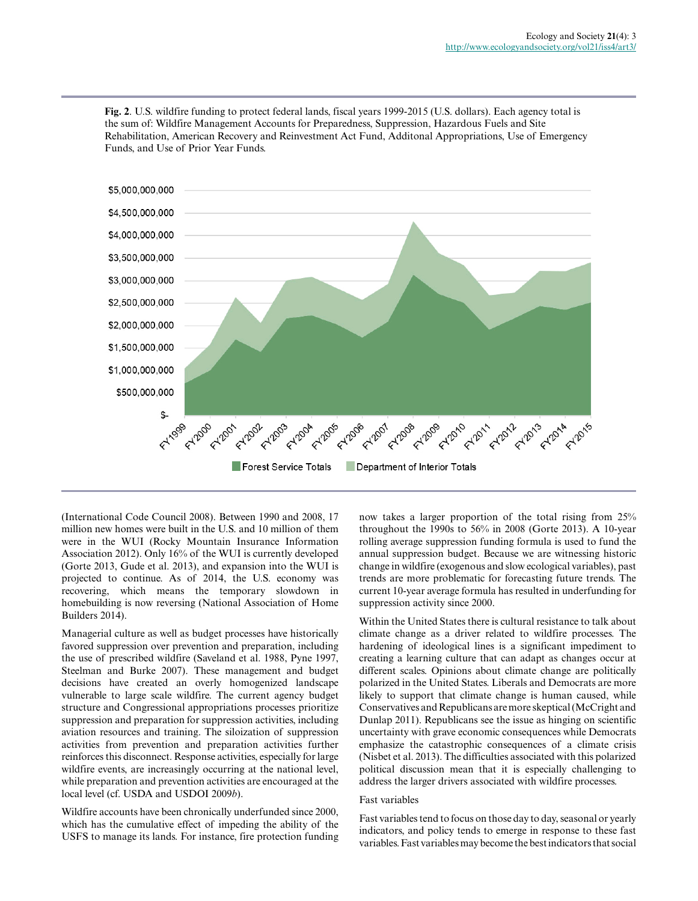

**Fig. 2**. U.S. wildfire funding to protect federal lands, fiscal years 1999-2015 (U.S. dollars). Each agency total is the sum of: Wildfire Management Accounts for Preparedness, Suppression, Hazardous Fuels and Site Rehabilitation, American Recovery and Reinvestment Act Fund, Additonal Appropriations, Use of Emergency Funds, and Use of Prior Year Funds.

(International Code Council 2008). Between 1990 and 2008, 17 million new homes were built in the U.S. and 10 million of them were in the WUI (Rocky Mountain Insurance Information Association 2012). Only 16% of the WUI is currently developed (Gorte 2013, Gude et al. 2013), and expansion into the WUI is projected to continue. As of 2014, the U.S. economy was recovering, which means the temporary slowdown in homebuilding is now reversing (National Association of Home Builders 2014).

Managerial culture as well as budget processes have historically favored suppression over prevention and preparation, including the use of prescribed wildfire (Saveland et al. 1988, Pyne 1997, Steelman and Burke 2007). These management and budget decisions have created an overly homogenized landscape vulnerable to large scale wildfire. The current agency budget structure and Congressional appropriations processes prioritize suppression and preparation for suppression activities, including aviation resources and training. The siloization of suppression activities from prevention and preparation activities further reinforces this disconnect. Response activities, especially for large wildfire events, are increasingly occurring at the national level, while preparation and prevention activities are encouraged at the local level (cf. USDA and USDOI 2009*b*).

Wildfire accounts have been chronically underfunded since 2000, which has the cumulative effect of impeding the ability of the USFS to manage its lands. For instance, fire protection funding now takes a larger proportion of the total rising from 25% throughout the 1990s to 56% in 2008 (Gorte 2013). A 10-year rolling average suppression funding formula is used to fund the annual suppression budget. Because we are witnessing historic change in wildfire (exogenous and slow ecological variables), past trends are more problematic for forecasting future trends. The current 10-year average formula has resulted in underfunding for suppression activity since 2000.

Within the United States there is cultural resistance to talk about climate change as a driver related to wildfire processes. The hardening of ideological lines is a significant impediment to creating a learning culture that can adapt as changes occur at different scales. Opinions about climate change are politically polarized in the United States. Liberals and Democrats are more likely to support that climate change is human caused, while Conservatives and Republicans are more skeptical (McCright and Dunlap 2011). Republicans see the issue as hinging on scientific uncertainty with grave economic consequences while Democrats emphasize the catastrophic consequences of a climate crisis (Nisbet et al. 2013). The difficulties associated with this polarized political discussion mean that it is especially challenging to address the larger drivers associated with wildfire processes.

# Fast variables

Fast variables tend to focus on those day to day, seasonal or yearly indicators, and policy tends to emerge in response to these fast variables. Fast variables may become the best indicators that social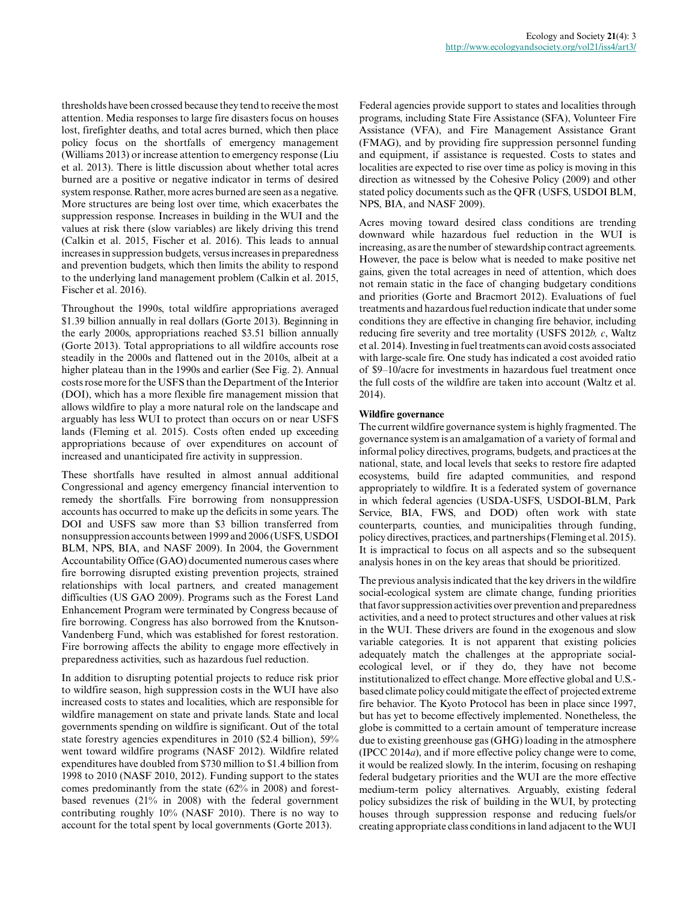thresholds have been crossed because they tend to receive the most attention. Media responses to large fire disasters focus on houses lost, firefighter deaths, and total acres burned, which then place policy focus on the shortfalls of emergency management (Williams 2013) or increase attention to emergency response (Liu et al. 2013). There is little discussion about whether total acres burned are a positive or negative indicator in terms of desired system response. Rather, more acres burned are seen as a negative. More structures are being lost over time, which exacerbates the suppression response. Increases in building in the WUI and the values at risk there (slow variables) are likely driving this trend (Calkin et al. 2015, Fischer et al. 2016). This leads to annual increases in suppression budgets, versus increases in preparedness and prevention budgets, which then limits the ability to respond to the underlying land management problem (Calkin et al. 2015, Fischer et al. 2016).

Throughout the 1990s, total wildfire appropriations averaged \$1.39 billion annually in real dollars (Gorte 2013). Beginning in the early 2000s, appropriations reached \$3.51 billion annually (Gorte 2013). Total appropriations to all wildfire accounts rose steadily in the 2000s and flattened out in the 2010s, albeit at a higher plateau than in the 1990s and earlier (See Fig. 2). Annual costs rose more for the USFS than the Department of the Interior (DOI), which has a more flexible fire management mission that allows wildfire to play a more natural role on the landscape and arguably has less WUI to protect than occurs on or near USFS lands (Fleming et al. 2015). Costs often ended up exceeding appropriations because of over expenditures on account of increased and unanticipated fire activity in suppression.

These shortfalls have resulted in almost annual additional Congressional and agency emergency financial intervention to remedy the shortfalls. Fire borrowing from nonsuppression accounts has occurred to make up the deficits in some years. The DOI and USFS saw more than \$3 billion transferred from nonsuppression accounts between 1999 and 2006 (USFS, USDOI BLM, NPS, BIA, and NASF 2009). In 2004, the Government Accountability Office (GAO) documented numerous cases where fire borrowing disrupted existing prevention projects, strained relationships with local partners, and created management difficulties (US GAO 2009). Programs such as the Forest Land Enhancement Program were terminated by Congress because of fire borrowing. Congress has also borrowed from the Knutson-Vandenberg Fund, which was established for forest restoration. Fire borrowing affects the ability to engage more effectively in preparedness activities, such as hazardous fuel reduction.

In addition to disrupting potential projects to reduce risk prior to wildfire season, high suppression costs in the WUI have also increased costs to states and localities, which are responsible for wildfire management on state and private lands. State and local governments spending on wildfire is significant. Out of the total state forestry agencies expenditures in 2010 (\$2.4 billion), 59% went toward wildfire programs (NASF 2012). Wildfire related expenditures have doubled from \$730 million to \$1.4 billion from 1998 to 2010 (NASF 2010, 2012). Funding support to the states comes predominantly from the state (62% in 2008) and forestbased revenues (21% in 2008) with the federal government contributing roughly 10% (NASF 2010). There is no way to account for the total spent by local governments (Gorte 2013).

Federal agencies provide support to states and localities through programs, including State Fire Assistance (SFA), Volunteer Fire Assistance (VFA), and Fire Management Assistance Grant (FMAG), and by providing fire suppression personnel funding and equipment, if assistance is requested. Costs to states and localities are expected to rise over time as policy is moving in this direction as witnessed by the Cohesive Policy (2009) and other stated policy documents such as the QFR (USFS, USDOI BLM, NPS, BIA, and NASF 2009).

Acres moving toward desired class conditions are trending downward while hazardous fuel reduction in the WUI is increasing, as are the number of stewardship contract agreements. However, the pace is below what is needed to make positive net gains, given the total acreages in need of attention, which does not remain static in the face of changing budgetary conditions and priorities (Gorte and Bracmort 2012). Evaluations of fuel treatments and hazardous fuel reduction indicate that under some conditions they are effective in changing fire behavior, including reducing fire severity and tree mortality (USFS 2012*b, c*, Waltz et al. 2014). Investing in fuel treatments can avoid costs associated with large-scale fire. One study has indicated a cost avoided ratio of \$9–10/acre for investments in hazardous fuel treatment once the full costs of the wildfire are taken into account (Waltz et al. 2014).

# **Wildfire governance**

The current wildfire governance system is highly fragmented. The governance system is an amalgamation of a variety of formal and informal policy directives, programs, budgets, and practices at the national, state, and local levels that seeks to restore fire adapted ecosystems, build fire adapted communities, and respond appropriately to wildfire. It is a federated system of governance in which federal agencies (USDA-USFS, USDOI-BLM, Park Service, BIA, FWS, and DOD) often work with state counterparts, counties, and municipalities through funding, policy directives, practices, and partnerships (Fleming et al. 2015). It is impractical to focus on all aspects and so the subsequent analysis hones in on the key areas that should be prioritized.

The previous analysis indicated that the key drivers in the wildfire social-ecological system are climate change, funding priorities that favor suppression activities over prevention and preparedness activities, and a need to protect structures and other values at risk in the WUI. These drivers are found in the exogenous and slow variable categories. It is not apparent that existing policies adequately match the challenges at the appropriate socialecological level, or if they do, they have not become institutionalized to effect change. More effective global and U.S. based climate policy could mitigate the effect of projected extreme fire behavior. The Kyoto Protocol has been in place since 1997, but has yet to become effectively implemented. Nonetheless, the globe is committed to a certain amount of temperature increase due to existing greenhouse gas (GHG) loading in the atmosphere (IPCC 2014*a*), and if more effective policy change were to come, it would be realized slowly. In the interim, focusing on reshaping federal budgetary priorities and the WUI are the more effective medium-term policy alternatives. Arguably, existing federal policy subsidizes the risk of building in the WUI, by protecting houses through suppression response and reducing fuels/or creating appropriate class conditions in land adjacent to the WUI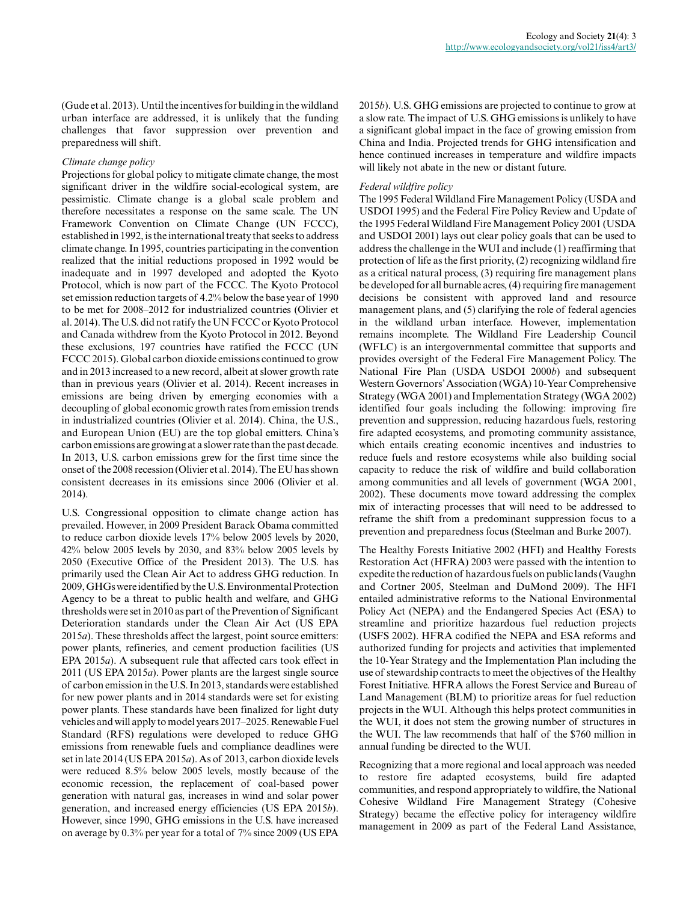(Gude et al. 2013). Until the incentives for building in the wildland urban interface are addressed, it is unlikely that the funding challenges that favor suppression over prevention and preparedness will shift.

#### *Climate change policy*

Projections for global policy to mitigate climate change, the most significant driver in the wildfire social-ecological system, are pessimistic. Climate change is a global scale problem and therefore necessitates a response on the same scale. The UN Framework Convention on Climate Change (UN FCCC), established in 1992, is the international treaty that seeks to address climate change. In 1995, countries participating in the convention realized that the initial reductions proposed in 1992 would be inadequate and in 1997 developed and adopted the Kyoto Protocol, which is now part of the FCCC. The Kyoto Protocol set emission reduction targets of 4.2% below the base year of 1990 to be met for 2008–2012 for industrialized countries (Olivier et al. 2014). The U.S. did not ratify the UN FCCC or Kyoto Protocol and Canada withdrew from the Kyoto Protocol in 2012. Beyond these exclusions, 197 countries have ratified the FCCC (UN FCCC 2015). Global carbon dioxide emissions continued to grow and in 2013 increased to a new record, albeit at slower growth rate than in previous years (Olivier et al. 2014). Recent increases in emissions are being driven by emerging economies with a decoupling of global economic growth rates from emission trends in industrialized countries (Olivier et al. 2014). China, the U.S., and European Union (EU) are the top global emitters. China's carbon emissions are growing at a slower rate than the past decade. In 2013, U.S. carbon emissions grew for the first time since the onset of the 2008 recession (Olivier et al. 2014). The EU has shown consistent decreases in its emissions since 2006 (Olivier et al. 2014).

U.S. Congressional opposition to climate change action has prevailed. However, in 2009 President Barack Obama committed to reduce carbon dioxide levels 17% below 2005 levels by 2020, 42% below 2005 levels by 2030, and 83% below 2005 levels by 2050 (Executive Office of the President 2013). The U.S. has primarily used the Clean Air Act to address GHG reduction. In 2009, GHGs were identified by the U.S. Environmental Protection Agency to be a threat to public health and welfare, and GHG thresholds were set in 2010 as part of the Prevention of Significant Deterioration standards under the Clean Air Act (US EPA 2015*a*). These thresholds affect the largest, point source emitters: power plants, refineries, and cement production facilities (US EPA 2015*a*). A subsequent rule that affected cars took effect in 2011 (US EPA 2015*a*). Power plants are the largest single source of carbon emission in the U.S. In 2013, standards were established for new power plants and in 2014 standards were set for existing power plants. These standards have been finalized for light duty vehicles and will apply to model years 2017–2025. Renewable Fuel Standard (RFS) regulations were developed to reduce GHG emissions from renewable fuels and compliance deadlines were set in late 2014 (US EPA 2015*a*). As of 2013, carbon dioxide levels were reduced 8.5% below 2005 levels, mostly because of the economic recession, the replacement of coal-based power generation with natural gas, increases in wind and solar power generation, and increased energy efficiencies (US EPA 2015*b*). However, since 1990, GHG emissions in the U.S. have increased on average by 0.3% per year for a total of 7% since 2009 (US EPA 2015*b*). U.S. GHG emissions are projected to continue to grow at a slow rate. The impact of U.S. GHG emissions is unlikely to have a significant global impact in the face of growing emission from China and India. Projected trends for GHG intensification and hence continued increases in temperature and wildfire impacts will likely not abate in the new or distant future.

#### *Federal wildfire policy*

The 1995 Federal Wildland Fire Management Policy (USDA and USDOI 1995) and the Federal Fire Policy Review and Update of the 1995 Federal Wildland Fire Management Policy 2001 (USDA and USDOI 2001) lays out clear policy goals that can be used to address the challenge in the WUI and include (1) reaffirming that protection of life as the first priority, (2) recognizing wildland fire as a critical natural process, (3) requiring fire management plans be developed for all burnable acres, (4) requiring fire management decisions be consistent with approved land and resource management plans, and (5) clarifying the role of federal agencies in the wildland urban interface. However, implementation remains incomplete. The Wildland Fire Leadership Council (WFLC) is an intergovernmental committee that supports and provides oversight of the Federal Fire Management Policy. The National Fire Plan (USDA USDOI 2000*b*) and subsequent Western Governors' Association (WGA) 10-Year Comprehensive Strategy (WGA 2001) and Implementation Strategy (WGA 2002) identified four goals including the following: improving fire prevention and suppression, reducing hazardous fuels, restoring fire adapted ecosystems, and promoting community assistance, which entails creating economic incentives and industries to reduce fuels and restore ecosystems while also building social capacity to reduce the risk of wildfire and build collaboration among communities and all levels of government (WGA 2001, 2002). These documents move toward addressing the complex mix of interacting processes that will need to be addressed to reframe the shift from a predominant suppression focus to a prevention and preparedness focus (Steelman and Burke 2007).

The Healthy Forests Initiative 2002 (HFI) and Healthy Forests Restoration Act (HFRA) 2003 were passed with the intention to expedite the reduction of hazardous fuels on public lands (Vaughn and Cortner 2005, Steelman and DuMond 2009). The HFI entailed administrative reforms to the National Environmental Policy Act (NEPA) and the Endangered Species Act (ESA) to streamline and prioritize hazardous fuel reduction projects (USFS 2002). HFRA codified the NEPA and ESA reforms and authorized funding for projects and activities that implemented the 10-Year Strategy and the Implementation Plan including the use of stewardship contracts to meet the objectives of the Healthy Forest Initiative. HFRA allows the Forest Service and Bureau of Land Management (BLM) to prioritize areas for fuel reduction projects in the WUI. Although this helps protect communities in the WUI, it does not stem the growing number of structures in the WUI. The law recommends that half of the \$760 million in annual funding be directed to the WUI.

Recognizing that a more regional and local approach was needed to restore fire adapted ecosystems, build fire adapted communities, and respond appropriately to wildfire, the National Cohesive Wildland Fire Management Strategy (Cohesive Strategy) became the effective policy for interagency wildfire management in 2009 as part of the Federal Land Assistance,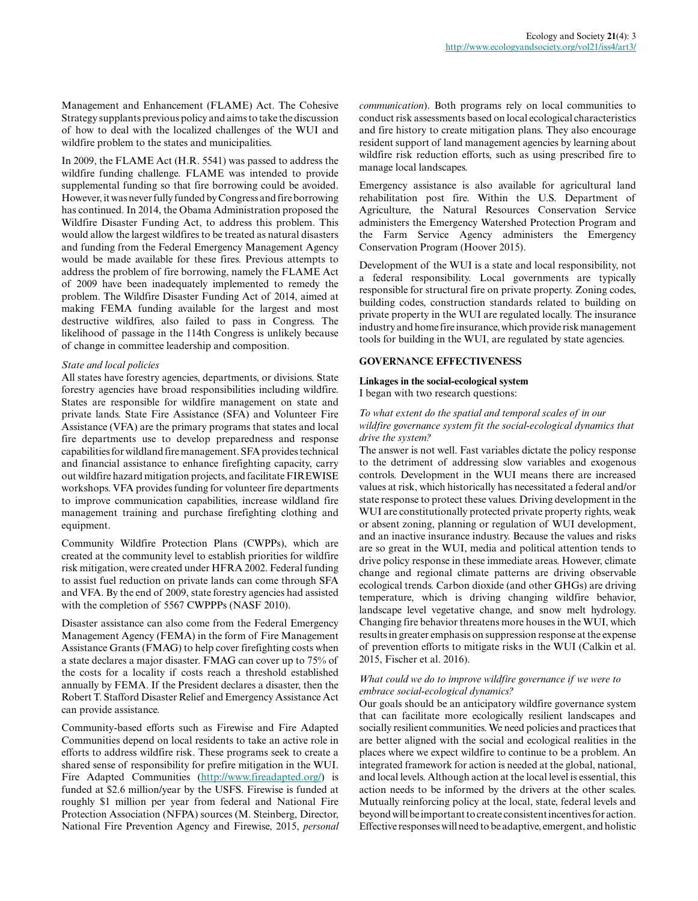Management and Enhancement (FLAME) Act. The Cohesive Strategy supplants previous policy and aims to take the discussion of how to deal with the localized challenges of the WUI and wildfire problem to the states and municipalities.

In 2009, the FLAME Act (H.R. 5541) was passed to address the wildfire funding challenge. FLAME was intended to provide supplemental funding so that fire borrowing could be avoided. However, it was never fully funded by Congress and fire borrowing has continued. In 2014, the Obama Administration proposed the Wildfire Disaster Funding Act, to address this problem. This would allow the largest wildfires to be treated as natural disasters and funding from the Federal Emergency Management Agency would be made available for these fires. Previous attempts to address the problem of fire borrowing, namely the FLAME Act of 2009 have been inadequately implemented to remedy the problem. The Wildfire Disaster Funding Act of 2014, aimed at making FEMA funding available for the largest and most destructive wildfires, also failed to pass in Congress. The likelihood of passage in the 114th Congress is unlikely because of change in committee leadership and composition.

## *State and local policies*

All states have forestry agencies, departments, or divisions. State forestry agencies have broad responsibilities including wildfire. States are responsible for wildfire management on state and private lands. State Fire Assistance (SFA) and Volunteer Fire Assistance (VFA) are the primary programs that states and local fire departments use to develop preparedness and response capabilities for wildland fire management. SFA provides technical and financial assistance to enhance firefighting capacity, carry out wildfire hazard mitigation projects, and facilitate FIREWISE workshops. VFA provides funding for volunteer fire departments to improve communication capabilities, increase wildland fire management training and purchase firefighting clothing and equipment.

Community Wildfire Protection Plans (CWPPs), which are created at the community level to establish priorities for wildfire risk mitigation, were created under HFRA 2002. Federal funding to assist fuel reduction on private lands can come through SFA and VFA. By the end of 2009, state forestry agencies had assisted with the completion of 5567 CWPPPs (NASF 2010).

Disaster assistance can also come from the Federal Emergency Management Agency (FEMA) in the form of Fire Management Assistance Grants (FMAG) to help cover firefighting costs when a state declares a major disaster. FMAG can cover up to 75% of the costs for a locality if costs reach a threshold established annually by FEMA. If the President declares a disaster, then the Robert T. Stafford Disaster Relief and Emergency Assistance Act can provide assistance.

Community-based efforts such as Firewise and Fire Adapted Communities depend on local residents to take an active role in efforts to address wildfire risk. These programs seek to create a shared sense of responsibility for prefire mitigation in the WUI. Fire Adapted Communities [\(http://www.fireadapted.org/\)](http://www.fireadapted.org/) is funded at \$2.6 million/year by the USFS. Firewise is funded at roughly \$1 million per year from federal and National Fire Protection Association (NFPA) sources (M. Steinberg, Director, National Fire Prevention Agency and Firewise, 2015, *personal* *communication*). Both programs rely on local communities to conduct risk assessments based on local ecological characteristics and fire history to create mitigation plans. They also encourage resident support of land management agencies by learning about wildfire risk reduction efforts, such as using prescribed fire to manage local landscapes.

Emergency assistance is also available for agricultural land rehabilitation post fire. Within the U.S. Department of Agriculture, the Natural Resources Conservation Service administers the Emergency Watershed Protection Program and the Farm Service Agency administers the Emergency Conservation Program (Hoover 2015).

Development of the WUI is a state and local responsibility, not a federal responsibility. Local governments are typically responsible for structural fire on private property. Zoning codes, building codes, construction standards related to building on private property in the WUI are regulated locally. The insurance industry and home fire insurance, which provide risk management tools for building in the WUI, are regulated by state agencies.

# **GOVERNANCE EFFECTIVENESS**

## **Linkages in the social-ecological system**

I began with two research questions:

# *To what extent do the spatial and temporal scales of in our wildfire governance system fit the social-ecological dynamics that drive the system?*

The answer is not well. Fast variables dictate the policy response to the detriment of addressing slow variables and exogenous controls. Development in the WUI means there are increased values at risk, which historically has necessitated a federal and/or state response to protect these values. Driving development in the WUI are constitutionally protected private property rights, weak or absent zoning, planning or regulation of WUI development, and an inactive insurance industry. Because the values and risks are so great in the WUI, media and political attention tends to drive policy response in these immediate areas. However, climate change and regional climate patterns are driving observable ecological trends. Carbon dioxide (and other GHGs) are driving temperature, which is driving changing wildfire behavior, landscape level vegetative change, and snow melt hydrology. Changing fire behavior threatens more houses in the WUI, which results in greater emphasis on suppression response at the expense of prevention efforts to mitigate risks in the WUI (Calkin et al. 2015, Fischer et al. 2016).

## *What could we do to improve wildfire governance if we were to embrace social-ecological dynamics?*

Our goals should be an anticipatory wildfire governance system that can facilitate more ecologically resilient landscapes and socially resilient communities. We need policies and practices that are better aligned with the social and ecological realities in the places where we expect wildfire to continue to be a problem. An integrated framework for action is needed at the global, national, and local levels. Although action at the local level is essential, this action needs to be informed by the drivers at the other scales. Mutually reinforcing policy at the local, state, federal levels and beyond will be important to create consistent incentives for action. Effective responses will need to be adaptive, emergent, and holistic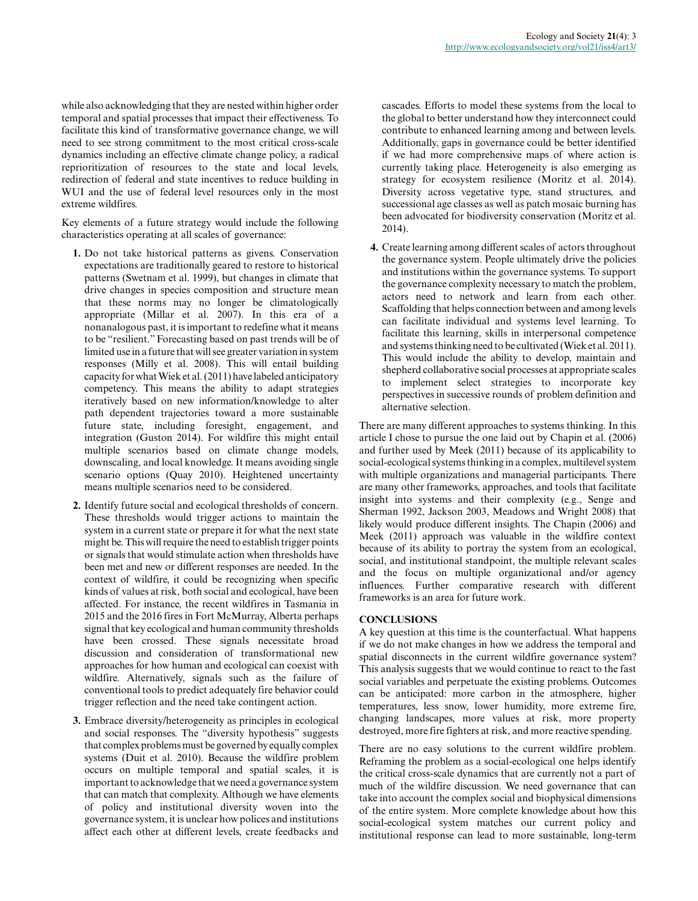while also acknowledging that they are nested within higher order temporal and spatial processes that impact their effectiveness. To facilitate this kind of transformative governance change, we will need to see strong commitment to the most critical cross-scale dynamics including an effective climate change policy, a radical reprioritization of resources to the state and local levels, redirection of federal and state incentives to reduce building in WUI and the use of federal level resources only in the most extreme wildfires.

Key elements of a future strategy would include the following characteristics operating at all scales of governance:

- **1.** Do not take historical patterns as givens. Conservation expectations are traditionally geared to restore to historical patterns (Swetnam et al. 1999), but changes in climate that drive changes in species composition and structure mean that these norms may no longer be climatologically appropriate (Millar et al. 2007). In this era of a nonanalogous past, it is important to redefine what it means to be "resilient." Forecasting based on past trends will be of limited use in a future that will see greater variation in system responses (Milly et al. 2008). This will entail building capacity for what Wiek et al. (2011) have labeled anticipatory competency. This means the ability to adapt strategies iteratively based on new information/knowledge to alter path dependent trajectories toward a more sustainable future state, including foresight, engagement, and integration (Guston 2014). For wildfire this might entail multiple scenarios based on climate change models, downscaling, and local knowledge. It means avoiding single scenario options (Quay 2010). Heightened uncertainty means multiple scenarios need to be considered.
- **2.** Identify future social and ecological thresholds of concern. These thresholds would trigger actions to maintain the system in a current state or prepare it for what the next state might be. This will require the need to establish trigger points or signals that would stimulate action when thresholds have been met and new or different responses are needed. In the context of wildfire, it could be recognizing when specific kinds of values at risk, both social and ecological, have been affected. For instance, the recent wildfires in Tasmania in 2015 and the 2016 fires in Fort McMurray, Alberta perhaps signal that key ecological and human community thresholds have been crossed. These signals necessitate broad discussion and consideration of transformational new approaches for how human and ecological can coexist with wildfire. Alternatively, signals such as the failure of conventional tools to predict adequately fire behavior could trigger reflection and the need take contingent action.
- **3.** Embrace diversity/heterogeneity as principles in ecological and social responses. The "diversity hypothesis" suggests that complex problems must be governed by equally complex systems (Duit et al. 2010). Because the wildfire problem occurs on multiple temporal and spatial scales, it is important to acknowledge that we need a governance system that can match that complexity. Although we have elements of policy and institutional diversity woven into the governance system, it is unclear how polices and institutions affect each other at different levels, create feedbacks and

cascades. Efforts to model these systems from the local to the global to better understand how they interconnect could contribute to enhanced learning among and between levels. Additionally, gaps in governance could be better identified if we had more comprehensive maps of where action is currently taking place. Heterogeneity is also emerging as strategy for ecosystem resilience (Moritz et al. 2014). Diversity across vegetative type, stand structures, and successional age classes as well as patch mosaic burning has been advocated for biodiversity conservation (Moritz et al. 2014).

**4.** Create learning among different scales of actors throughout the governance system. People ultimately drive the policies and institutions within the governance systems. To support the governance complexity necessary to match the problem, actors need to network and learn from each other. Scaffolding that helps connection between and among levels can facilitate individual and systems level learning. To facilitate this learning, skills in interpersonal competence and systems thinking need to be cultivated (Wiek et al. 2011). This would include the ability to develop, maintain and shepherd collaborative social processes at appropriate scales to implement select strategies to incorporate key perspectives in successive rounds of problem definition and alternative selection.

There are many different approaches to systems thinking. In this article I chose to pursue the one laid out by Chapin et al. (2006) and further used by Meek (2011) because of its applicability to social-ecological systems thinking in a complex, multilevel system with multiple organizations and managerial participants. There are many other frameworks, approaches, and tools that facilitate insight into systems and their complexity (e.g., Senge and Sherman 1992, Jackson 2003, Meadows and Wright 2008) that likely would produce different insights. The Chapin (2006) and Meek (2011) approach was valuable in the wildfire context because of its ability to portray the system from an ecological, social, and institutional standpoint, the multiple relevant scales and the focus on multiple organizational and/or agency influences. Further comparative research with different frameworks is an area for future work.

# **CONCLUSIONS**

A key question at this time is the counterfactual. What happens if we do not make changes in how we address the temporal and spatial disconnects in the current wildfire governance system? This analysis suggests that we would continue to react to the fast social variables and perpetuate the existing problems. Outcomes can be anticipated: more carbon in the atmosphere, higher temperatures, less snow, lower humidity, more extreme fire, changing landscapes, more values at risk, more property destroyed, more fire fighters at risk, and more reactive spending.

There are no easy solutions to the current wildfire problem. Reframing the problem as a social-ecological one helps identify the critical cross-scale dynamics that are currently not a part of much of the wildfire discussion. We need governance that can take into account the complex social and biophysical dimensions of the entire system. More complete knowledge about how this social-ecological system matches our current policy and institutional response can lead to more sustainable, long-term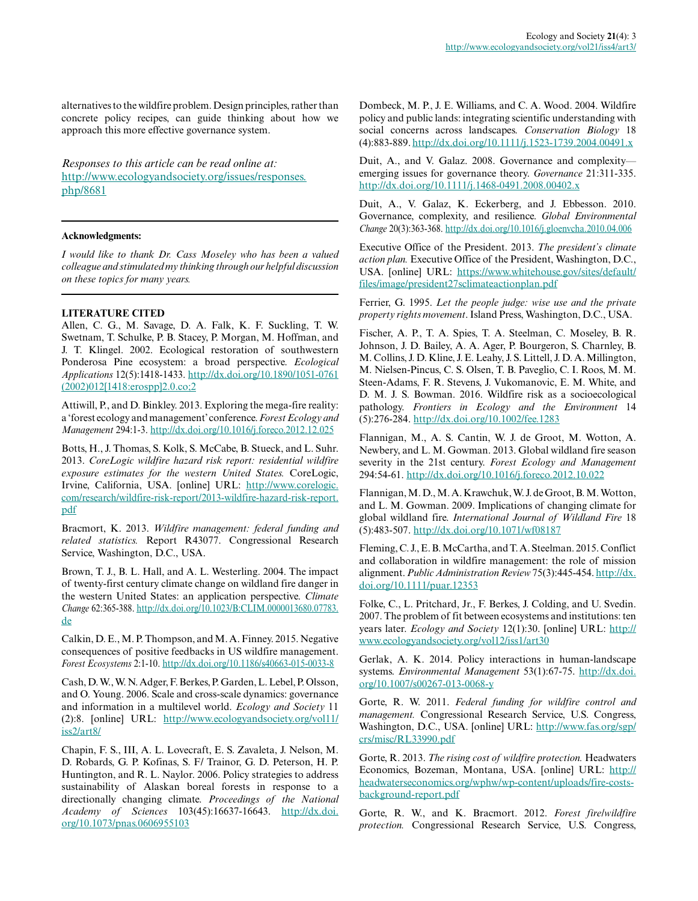alternatives to the wildfire problem. Design principles, rather than concrete policy recipes, can guide thinking about how we approach this more effective governance system.

*Responses to this article can be read online at:* [http://www.ecologyandsociety.org/issues/responses.](http://www.ecologyandsociety.org/issues/responses.php/8681) [php/8681](http://www.ecologyandsociety.org/issues/responses.php/8681)

#### **Acknowledgments:**

*I would like to thank Dr. Cass Moseley who has been a valued colleague and stimulated my thinking through our helpful discussion on these topics for many years.*

#### **LITERATURE CITED**

Allen, C. G., M. Savage, D. A. Falk, K. F. Suckling, T. W. Swetnam, T. Schulke, P. B. Stacey, P. Morgan, M. Hoffman, and J. T. Klingel. 2002. Ecological restoration of southwestern Ponderosa Pine ecosystem: a broad perspective. *Ecological Applications* 12(5):1418-1433. [http://dx.doi.org/10.1890/1051-0761](http://dx.doi.org/10.1890%2F1051-0761%282002%29012%5B1418%3Aerospp%5D2.0.co%3B2) [\(2002\)012\[1418:erospp\]2.0.co;2](http://dx.doi.org/10.1890%2F1051-0761%282002%29012%5B1418%3Aerospp%5D2.0.co%3B2)

Attiwill, P., and D. Binkley. 2013. Exploring the mega-fire reality: a 'forest ecology and management' conference. *Forest Ecology and Management* 294:1-3. [http://dx.doi.org/10.1016/j.foreco.2012.12.025](http://dx.doi.org/10.1016%2Fj.foreco.2012.12.025) 

Botts, H., J. Thomas, S. Kolk, S. McCabe, B. Stueck, and L. Suhr. 2013. *CoreLogic wildfire hazard risk report: residential wildfire exposure estimates for the western United States.* CoreLogic, Irvine, California, USA. [online] URL: [http://www.corelogic.](http://www.corelogic.com/research/wildfire-risk-report/2013-wildfire-hazard-risk-report.pdf) [com/research/wildfire-risk-report/2013-wildfire-hazard-risk-report.](http://www.corelogic.com/research/wildfire-risk-report/2013-wildfire-hazard-risk-report.pdf) [pdf](http://www.corelogic.com/research/wildfire-risk-report/2013-wildfire-hazard-risk-report.pdf)

Bracmort, K. 2013. *Wildfire management: federal funding and related statistics.* Report R43077. Congressional Research Service, Washington, D.C., USA.

Brown, T. J., B. L. Hall, and A. L. Westerling. 2004. The impact of twenty-first century climate change on wildland fire danger in the western United States: an application perspective. *Climate Change* 62:365-388. [http://dx.doi.org/10.1023/B:CLIM.0000013680.07783.](http://dx.doi.org/10.1023%2FB%3ACLIM.0000013680.07783.de) [de](http://dx.doi.org/10.1023%2FB%3ACLIM.0000013680.07783.de) 

Calkin, D. E., M. P. Thompson, and M. A. Finney. 2015. Negative consequences of positive feedbacks in US wildfire management. *Forest Ecosystems* 2:1-10. [http://dx.doi.org/10.1186/s40663-015-0033-8](http://dx.doi.org/10.1186%2Fs40663-015-0033-8) 

Cash, D. W., W. N. Adger, F. Berkes, P. Garden, L. Lebel, P. Olsson, and O. Young. 2006. Scale and cross-scale dynamics: governance and information in a multilevel world. *Ecology and Society* 11 (2):8. [online] URL: [http://www.ecologyandsociety.org/vol11/](http://www.ecologyandsociety.org/vol11/iss2/art8/) [iss2/art8/](http://www.ecologyandsociety.org/vol11/iss2/art8/)

Chapin, F. S., III, A. L. Lovecraft, E. S. Zavaleta, J. Nelson, M. D. Robards, G. P. Kofinas, S. F/ Trainor, G. D. Peterson, H. P. Huntington, and R. L. Naylor. 2006. Policy strategies to address sustainability of Alaskan boreal forests in response to a directionally changing climate. *Proceedings of the National Academy of Sciences* 103(45):16637-16643. [http://dx.doi.](http://dx.doi.org/10.1073%2Fpnas.0606955103) [org/10.1073/pnas.0606955103](http://dx.doi.org/10.1073%2Fpnas.0606955103) 

Dombeck, M. P., J. E. Williams, and C. A. Wood. 2004. Wildfire policy and public lands: integrating scientific understanding with social concerns across landscapes. *Conservation Biology* 18 (4):883-889. [http://dx.doi.org/10.1111/j.1523-1739.2004.00491.x](http://dx.doi.org/10.1111%2Fj.1523-1739.2004.00491.x)

Duit, A., and V. Galaz. 2008. Governance and complexity emerging issues for governance theory. *Governance* 21:311-335. [http://dx.doi.org/10.1111/j.1468-0491.2008.00402.x](http://dx.doi.org/10.1111%2Fj.1468-0491.2008.00402.x) 

Duit, A., V. Galaz, K. Eckerberg, and J. Ebbesson. 2010. Governance, complexity, and resilience. *Global Environmental Change* 20(3):363-368. [http://dx.doi.org/10.1016/j.gloenvcha.2010.04.006](http://dx.doi.org/10.1016%2Fj.gloenvcha.2010.04.006)

Executive Office of the President. 2013. *The president's climate action plan.* Executive Office of the President, Washington, D.C., USA. [online] URL: [https://www.whitehouse.gov/sites/default/](https://www.whitehouse.gov/sites/default/files/image/president27sclimateactionplan.pdf) [files/image/president27sclimateactionplan.pdf](https://www.whitehouse.gov/sites/default/files/image/president27sclimateactionplan.pdf)

Ferrier, G. 1995. *Let the people judge: wise use and the private property rights movement*. Island Press, Washington, D.C., USA.

Fischer, A. P., T. A. Spies, T. A. Steelman, C. Moseley, B. R. Johnson, J. D. Bailey, A. A. Ager, P. Bourgeron, S. Charnley, B. M. Collins, J. D. Kline, J. E. Leahy, J. S. Littell, J. D. A. Millington, M. Nielsen-Pincus, C. S. Olsen, T. B. Paveglio, C. I. Roos, M. M. Steen-Adams, F. R. Stevens, J. Vukomanovic, E. M. White, and D. M. J. S. Bowman. 2016. Wildfire risk as a socioecological pathology. *Frontiers in Ecology and the Environment* 14 (5):276-284. [http://dx.doi.org/10.1002/fee.1283](http://dx.doi.org/10.1002%2Ffee.1283) 

Flannigan, M., A. S. Cantin, W. J. de Groot, M. Wotton, A. Newbery, and L. M. Gowman. 2013. Global wildland fire season severity in the 21st century. *Forest Ecology and Management* 294:54-61. [http://dx.doi.org/10.1016/j.foreco.2012.10.022](http://dx.doi.org/10.1016%2Fj.foreco.2012.10.022)

Flannigan, M. D., M. A. Krawchuk, W. J. de Groot, B. M. Wotton, and L. M. Gowman. 2009. Implications of changing climate for global wildland fire. *International Journal of Wildland Fire* 18 (5):483-507. [http://dx.doi.org/10.1071/wf08187](http://dx.doi.org/10.1071%2Fwf08187) 

Fleming, C. J., E. B. McCartha, and T. A. Steelman. 2015. Conflict and collaboration in wildfire management: the role of mission alignment. *Public Administration Review* 75(3):445-454. [http://dx.](http://dx.doi.org/10.1111%2Fpuar.12353) [doi.org/10.1111/puar.12353](http://dx.doi.org/10.1111%2Fpuar.12353)

Folke, C., L. Pritchard, Jr., F. Berkes, J. Colding, and U. Svedin. 2007. The problem of fit between ecosystems and institutions: ten years later. *Ecology and Society* 12(1):30. [online] URL: [http://](http://www.ecologyandsociety.org/vol12/iss1/art30) [www.ecologyandsociety.org/vol12/iss1/art30](http://www.ecologyandsociety.org/vol12/iss1/art30) 

Gerlak, A. K. 2014. Policy interactions in human-landscape systems. *Environmental Management* 53(1):67-75. [http://dx.doi.](http://dx.doi.org/10.1007%2Fs00267-013-0068-y) [org/10.1007/s00267-013-0068-y](http://dx.doi.org/10.1007%2Fs00267-013-0068-y)

Gorte, R. W. 2011. *Federal funding for wildfire control and management.* Congressional Research Service, U.S. Congress, Washington, D.C., USA. [online] URL: [http://www.fas.org/sgp/](http://www.fas.org/sgp/crs/misc/RL33990.pdf) [crs/misc/RL33990.pdf](http://www.fas.org/sgp/crs/misc/RL33990.pdf)

Gorte, R. 2013. *The rising cost of wildfire protection.* Headwaters Economics, Bozeman, Montana, USA. [online] URL: [http://](http://headwaterseconomics.org/wphw/wp-content/uploads/fire-costs-background-report.pdf) [headwaterseconomics.org/wphw/wp-content/uploads/fire-costs](http://headwaterseconomics.org/wphw/wp-content/uploads/fire-costs-background-report.pdf)[background-report.pdf](http://headwaterseconomics.org/wphw/wp-content/uploads/fire-costs-background-report.pdf)

Gorte, R. W., and K. Bracmort. 2012. *Forest fire/wildfire protection.* Congressional Research Service, U.S. Congress,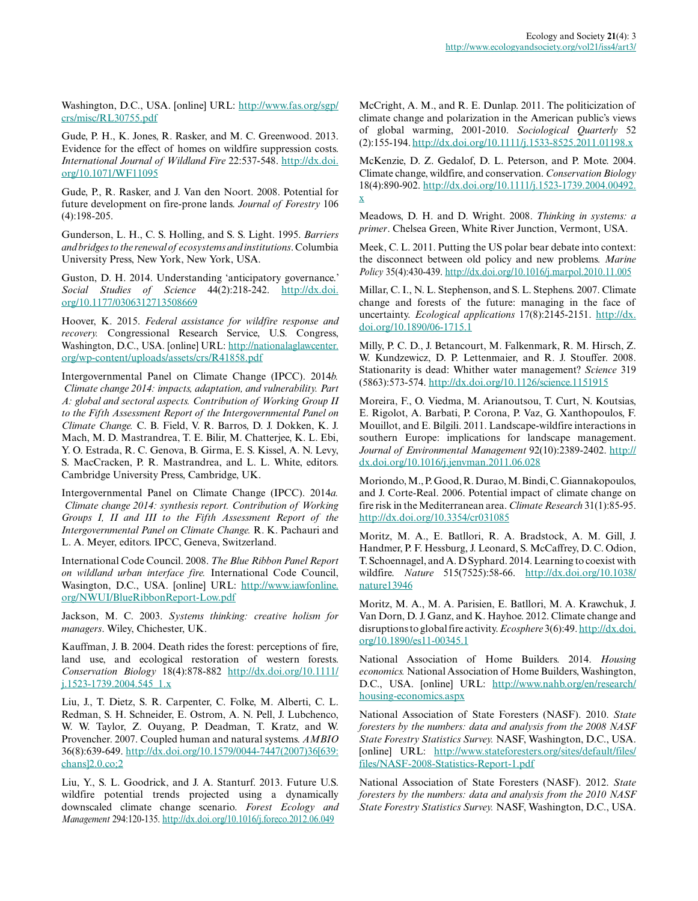Washington, D.C., USA. [online] URL: [http://www.fas.org/sgp/](http://www.fas.org/sgp/crs/misc/RL30755.pdf) [crs/misc/RL30755.pdf](http://www.fas.org/sgp/crs/misc/RL30755.pdf)

Gude, P. H., K. Jones, R. Rasker, and M. C. Greenwood. 2013. Evidence for the effect of homes on wildfire suppression costs. *International Journal of Wildland Fire* 22:537-548. [http://dx.doi.](http://dx.doi.org/10.1071%2FWF11095) [org/10.1071/WF11095](http://dx.doi.org/10.1071%2FWF11095) 

Gude, P., R. Rasker, and J. Van den Noort. 2008. Potential for future development on fire-prone lands. *Journal of Forestry* 106 (4):198-205.

Gunderson, L. H., C. S. Holling, and S. S. Light. 1995. *Barriers and bridges to the renewal of ecosystems and institutions*. Columbia University Press, New York, New York, USA.

Guston, D. H. 2014. Understanding 'anticipatory governance.' *Social Studies of Science* 44(2):218-242. [http://dx.doi.](http://dx.doi.org/10.1177%2F0306312713508669) [org/10.1177/0306312713508669](http://dx.doi.org/10.1177%2F0306312713508669)

Hoover, K. 2015. *Federal assistance for wildfire response and recovery.* Congressional Research Service, U.S. Congress, Washington, D.C., USA. [online] URL: [http://nationalaglawcenter.](http://nationalaglawcenter.org/wp-content/uploads/assets/crs/R41858.pdf) [org/wp-content/uploads/assets/crs/R41858.pdf](http://nationalaglawcenter.org/wp-content/uploads/assets/crs/R41858.pdf)

Intergovernmental Panel on Climate Change (IPCC). 2014*b. Climate change 2014: impacts, adaptation, and vulnerability. Part A: global and sectoral aspects. Contribution of Working Group II to the Fifth Assessment Report of the Intergovernmental Panel on Climate Change.* C. B. Field, V. R. Barros, D. J. Dokken, K. J. Mach, M. D. Mastrandrea, T. E. Bilir, M. Chatterjee, K. L. Ebi, Y. O. Estrada, R. C. Genova, B. Girma, E. S. Kissel, A. N. Levy, S. MacCracken, P. R. Mastrandrea, and L. L. White, editors. Cambridge University Press, Cambridge, UK.

Intergovernmental Panel on Climate Change (IPCC). 2014*a. Climate change 2014: synthesis report. Contribution of Working Groups I, II and III to the Fifth Assessment Report of the Intergovernmental Panel on Climate Change.* R. K. Pachauri and L. A. Meyer, editors. IPCC, Geneva, Switzerland.

International Code Council. 2008. *The Blue Ribbon Panel Report on wildland urban interface fire.* International Code Council, Wasington, D.C., USA. [online] URL: [http://www.iawfonline.](http://www.iawfonline.org/NWUI/BlueRibbonReport-Low.pdf) [org/NWUI/BlueRibbonReport-Low.pdf](http://www.iawfonline.org/NWUI/BlueRibbonReport-Low.pdf)

Jackson, M. C. 2003. *Systems thinking: creative holism for managers*. Wiley, Chichester, UK.

Kauffman, J. B. 2004. Death rides the forest: perceptions of fire, land use, and ecological restoration of western forests. *Conservation Biology* 18(4):878-882 [http://dx.doi.org/10.1111/](http://dx.doi.org/10.1111%2Fj.1523-1739.2004.545_1.x) [j.1523-1739.2004.545\\_1.x](http://dx.doi.org/10.1111%2Fj.1523-1739.2004.545_1.x)

Liu, J., T. Dietz, S. R. Carpenter, C. Folke, M. Alberti, C. L. Redman, S. H. Schneider, E. Ostrom, A. N. Pell, J. Lubchenco, W. W. Taylor, Z. Ouyang, P. Deadman, T. Kratz, and W. Provencher. 2007. Coupled human and natural systems. *AMBIO* 36(8):639-649. [http://dx.doi.org/10.1579/0044-7447\(2007\)36\[639:](http://dx.doi.org/10.1579%2F0044-7447%282007%2936%5B639%3Achans%5D2.0.co%3B2) [chans\]2.0.co;2](http://dx.doi.org/10.1579%2F0044-7447%282007%2936%5B639%3Achans%5D2.0.co%3B2)

Liu, Y., S. L. Goodrick, and J. A. Stanturf. 2013. Future U.S. wildfire potential trends projected using a dynamically downscaled climate change scenario. *Forest Ecology and Management* 294:120-135. [http://dx.doi.org/10.1016/j.foreco.2012.06.049](http://dx.doi.org/10.1016%2Fj.foreco.2012.06.049)

McCright, A. M., and R. E. Dunlap. 2011. The politicization of climate change and polarization in the American public's views of global warming, 2001-2010. *Sociological Quarterly* 52 (2):155-194. [http://dx.doi.org/10.1111/j.1533-8525.2011.01198.x](http://dx.doi.org/10.1111%2Fj.1533-8525.2011.01198.x)

McKenzie, D. Z. Gedalof, D. L. Peterson, and P. Mote. 2004. Climate change, wildfire, and conservation. *Conservation Biology* 18(4):890-902. [http://dx.doi.org/10.1111/j.1523-1739.2004.00492.](http://dx.doi.org/10.1111%2Fj.1523-1739.2004.00492.x) [x](http://dx.doi.org/10.1111%2Fj.1523-1739.2004.00492.x) 

Meadows, D. H. and D. Wright. 2008. *Thinking in systems: a primer*. Chelsea Green, White River Junction, Vermont, USA.

Meek, C. L. 2011. Putting the US polar bear debate into context: the disconnect between old policy and new problems. *Marine Policy* 35(4):430-439. [http://dx.doi.org/10.1016/j.marpol.2010.11.005](http://dx.doi.org/10.1016%2Fj.marpol.2010.11.005) 

Millar, C. I., N. L. Stephenson, and S. L. Stephens. 2007. Climate change and forests of the future: managing in the face of uncertainty. *Ecological applications* 17(8):2145-2151. [http://dx.](http://dx.doi.org/10.1890%2F06-1715.1) [doi.org/10.1890/06-1715.1](http://dx.doi.org/10.1890%2F06-1715.1) 

Milly, P. C. D., J. Betancourt, M. Falkenmark, R. M. Hirsch, Z. W. Kundzewicz, D. P. Lettenmaier, and R. J. Stouffer. 2008. Stationarity is dead: Whither water management? *Science* 319 (5863):573-574.<http://dx.doi.org/10.1126/science.1151915>

Moreira, F., O. Viedma, M. Arianoutsou, T. Curt, N. Koutsias, E. Rigolot, A. Barbati, P. Corona, P. Vaz, G. Xanthopoulos, F. Mouillot, and E. Bilgili. 2011. Landscape-wildfire interactions in southern Europe: implications for landscape management. *Journal of Environmental Management* 92(10):2389-2402. [http://](http://dx.doi.org/10.1016%2Fj.jenvman.2011.06.028) [dx.doi.org/10.1016/j.jenvman.2011.06.028](http://dx.doi.org/10.1016%2Fj.jenvman.2011.06.028) 

Moriondo, M., P. Good, R. Durao, M. Bindi, C. Giannakopoulos, and J. Corte-Real. 2006. Potential impact of climate change on fire risk in the Mediterranean area. *Climate Research* 31(1):85-95. [http://dx.doi.org/10.3354/cr031085](http://dx.doi.org/10.3354%2Fcr031085) 

Moritz, M. A., E. Batllori, R. A. Bradstock, A. M. Gill, J. Handmer, P. F. Hessburg, J. Leonard, S. McCaffrey, D. C. Odion, T. Schoennagel, and A. D Syphard. 2014. Learning to coexist with wildfire. *Nature* 515(7525):58-66. [http://dx.doi.org/10.1038/](http://dx.doi.org/10.1038%2Fnature13946) [nature13946](http://dx.doi.org/10.1038%2Fnature13946) 

Moritz, M. A., M. A. Parisien, E. Batllori, M. A. Krawchuk, J. Van Dorn, D. J. Ganz, and K. Hayhoe. 2012. Climate change and disruptions to global fire activity. *Ecosphere* 3(6):49. [http://dx.doi.](http://dx.doi.org/10.1890%2Fes11-00345.1) [org/10.1890/es11-00345.1](http://dx.doi.org/10.1890%2Fes11-00345.1)

National Association of Home Builders. 2014. *Housing economics.* National Association of Home Builders, Washington, D.C., USA. [online] URL: [http://www.nahb.org/en/research/](http://www.nahb.org/en/research/housing-economics.aspx) [housing-economics.aspx](http://www.nahb.org/en/research/housing-economics.aspx) 

National Association of State Foresters (NASF). 2010. *State foresters by the numbers: data and analysis from the 2008 NASF State Forestry Statistics Survey.* NASF, Washington, D.C., USA. [online] URL: [http://www.stateforesters.org/sites/default/files/](http://www.stateforesters.org/sites/default/files/files/NASF-2008-Statistics-Report-1.pdf) [files/NASF-2008-Statistics-Report-1.pdf](http://www.stateforesters.org/sites/default/files/files/NASF-2008-Statistics-Report-1.pdf)

National Association of State Foresters (NASF). 2012. *State foresters by the numbers: data and analysis from the 2010 NASF State Forestry Statistics Survey.* NASF, Washington, D.C., USA.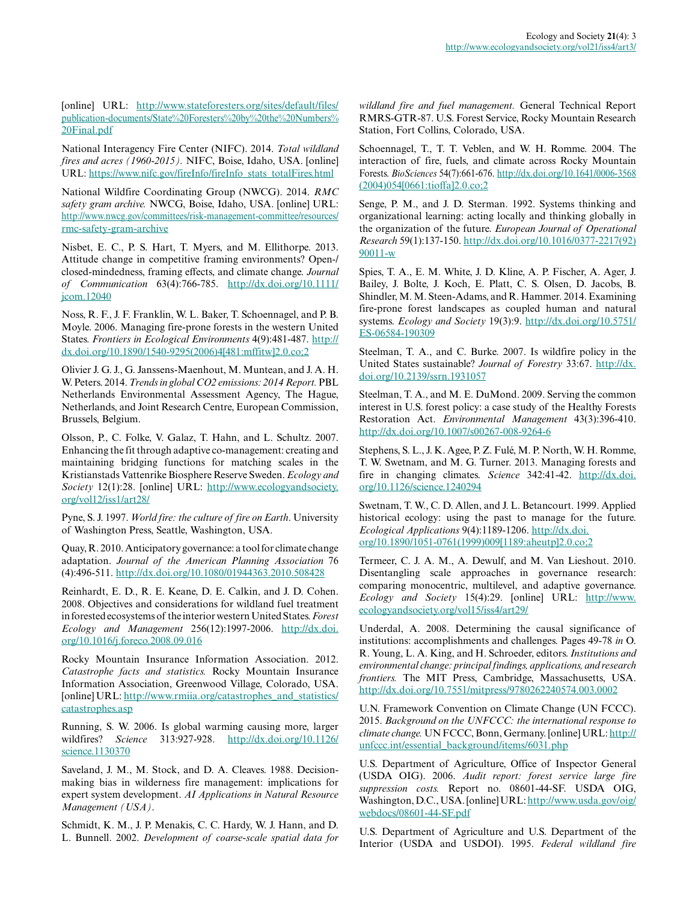[online] URL: [http://www.stateforesters.org/sites/default/files/](http://www.stateforesters.org/sites/default/files/publication-documents/State%20Foresters%20by%20the%20Numbers%20Final.pdf) [publication-documents/State%20Foresters%20by%20the%20Numbers%](http://www.stateforesters.org/sites/default/files/publication-documents/State%20Foresters%20by%20the%20Numbers%20Final.pdf) [20Final.pdf](http://www.stateforesters.org/sites/default/files/publication-documents/State%20Foresters%20by%20the%20Numbers%20Final.pdf)

National Interagency Fire Center (NIFC). 2014. *Total wildland fires and acres (1960-2015).* NIFC, Boise, Idaho, USA. [online] URL: [https://www.nifc.gov/fireInfo/fireInfo\\_stats\\_totalFires.html](https://www.nifc.gov/fireInfo/fireInfo_stats_totalFires.html) 

National Wildfire Coordinating Group (NWCG). 2014. *RMC safety gram archive.* NWCG, Boise, Idaho, USA. [online] URL: [http://www.nwcg.gov/committees/risk-management-committee/resources/](http://www.nwcg.gov/committees/risk-management-committee/resources/rmc-safety-gram-archive) [rmc-safety-gram-archive](http://www.nwcg.gov/committees/risk-management-committee/resources/rmc-safety-gram-archive) 

Nisbet, E. C., P. S. Hart, T. Myers, and M. Ellithorpe. 2013. Attitude change in competitive framing environments? Open-/ closed-mindedness, framing effects, and climate change. *Journal of Communication* 63(4):766-785. [http://dx.doi.org/10.1111/](http://dx.doi.org/10.1111%2Fjcom.12040) [jcom.12040](http://dx.doi.org/10.1111%2Fjcom.12040) 

Noss, R. F., J. F. Franklin, W. L. Baker, T. Schoennagel, and P. B. Moyle. 2006. Managing fire-prone forests in the western United States. *Frontiers in Ecological Environments* 4(9):481-487. [http://](http://dx.doi.org/10.1890%2F1540-9295%282006%294%5B481%3Amffitw%5D2.0.co%3B2) [dx.doi.org/10.1890/1540-9295\(2006\)4\[481:mffitw\]2.0.co;2](http://dx.doi.org/10.1890%2F1540-9295%282006%294%5B481%3Amffitw%5D2.0.co%3B2) 

Olivier J. G. J., G. Janssens-Maenhout, M. Muntean, and J. A. H. W. Peters. 2014. *Trends in global CO2 emissions: 2014 Report.* PBL Netherlands Environmental Assessment Agency, The Hague, Netherlands, and Joint Research Centre, European Commission, Brussels, Belgium.

Olsson, P., C. Folke, V. Galaz, T. Hahn, and L. Schultz. 2007. Enhancing the fit through adaptive co-management: creating and maintaining bridging functions for matching scales in the Kristianstads Vattenrike Biosphere Reserve Sweden. *Ecology and Society* 12(1):28. [online] URL: [http://www.ecologyandsociety.](http://www.ecologyandsociety.org/vol12/iss1/art28/) [org/vol12/iss1/art28/](http://www.ecologyandsociety.org/vol12/iss1/art28/)

Pyne, S. J. 1997. *World fire: the culture of fire on Earth*. University of Washington Press, Seattle, Washington, USA.

Quay, R. 2010. Anticipatory governance: a tool for climate change adaptation. *Journal of the American Planning Association* 76 (4):496-511. [http://dx.doi.org/10.1080/01944363.2010.508428](http://dx.doi.org/10.1080%2F01944363.2010.508428) 

Reinhardt, E. D., R. E. Keane, D. E. Calkin, and J. D. Cohen. 2008. Objectives and considerations for wildland fuel treatment in forested ecosystems of the interior western United States. *Forest Ecology and Management* 256(12):1997-2006. [http://dx.doi.](http://dx.doi.org/10.1016%2Fj.foreco.2008.09.016) [org/10.1016/j.foreco.2008.09.016](http://dx.doi.org/10.1016%2Fj.foreco.2008.09.016)

Rocky Mountain Insurance Information Association. 2012. *Catastrophe facts and statistics.* Rocky Mountain Insurance Information Association, Greenwood Village, Colorado, USA. [online] URL: [http://www.rmiia.org/catastrophes\\_and\\_statistics/](http://www.rmiia.org/catastrophes_and_statistics/catastrophes.asp) [catastrophes.asp](http://www.rmiia.org/catastrophes_and_statistics/catastrophes.asp)

Running, S. W. 2006. Is global warming causing more, larger wildfires? *Science* 313:927-928. [http://dx.doi.org/10.1126/](http://dx.doi.org/10.1126%2Fscience.1130370) [science.1130370](http://dx.doi.org/10.1126%2Fscience.1130370)

Saveland, J. M., M. Stock, and D. A. Cleaves. 1988. Decisionmaking bias in wilderness fire management: implications for expert system development. *AI Applications in Natural Resource Management (USA)*.

Schmidt, K. M., J. P. Menakis, C. C. Hardy, W. J. Hann, and D. L. Bunnell. 2002. *Development of coarse-scale spatial data for* *wildland fire and fuel management.* General Technical Report RMRS-GTR-87. U.S. Forest Service, Rocky Mountain Research Station, Fort Collins, Colorado, USA.

Schoennagel, T., T. T. Veblen, and W. H. Romme. 2004. The interaction of fire, fuels, and climate across Rocky Mountain Forests. *BioSciences* 54(7):661-676. [http://dx.doi.org/10.1641/0006-3568](http://dx.doi.org/10.1641%2F0006-3568%282004%29054%5B0661%3Atioffa%5D2.0.co%3B2) [\(2004\)054\[0661:tioffa\]2.0.co;2](http://dx.doi.org/10.1641%2F0006-3568%282004%29054%5B0661%3Atioffa%5D2.0.co%3B2)

Senge, P. M., and J. D. Sterman. 1992. Systems thinking and organizational learning: acting locally and thinking globally in the organization of the future. *European Journal of Operational Research* 59(1):137-150. [http://dx.doi.org/10.1016/0377-2217\(92\)](http://dx.doi.org/10.1016%2F0377-2217%2892%2990011-w) [90011-w](http://dx.doi.org/10.1016%2F0377-2217%2892%2990011-w) 

Spies, T. A., E. M. White, J. D. Kline, A. P. Fischer, A. Ager, J. Bailey, J. Bolte, J. Koch, E. Platt, C. S. Olsen, D. Jacobs, B. Shindler, M. M. Steen-Adams, and R. Hammer. 2014. Examining fire-prone forest landscapes as coupled human and natural systems. *Ecology and Society* 19(3):9. [http://dx.doi.org/10.5751/](http://dx.doi.org/10.5751/ES-06584-190309) [ES-06584-190309](http://dx.doi.org/10.5751/ES-06584-190309)

Steelman, T. A., and C. Burke. 2007. Is wildfire policy in the United States sustainable? *Journal of Forestry* 33:67. [http://dx.](http://dx.doi.org/10.2139%2Fssrn.1931057) [doi.org/10.2139/ssrn.1931057](http://dx.doi.org/10.2139%2Fssrn.1931057)

Steelman, T. A., and M. E. DuMond. 2009. Serving the common interest in U.S. forest policy: a case study of the Healthy Forests Restoration Act. *Environmental Management* 43(3):396-410. [http://dx.doi.org/10.1007/s00267-008-9264-6](http://dx.doi.org/10.1007%2Fs00267-008-9264-6)

Stephens, S. L., J. K. Agee, P. Z. Fulé, M. P. North, W. H. Romme, T. W. Swetnam, and M. G. Turner. 2013. Managing forests and fire in changing climates. *Science* 342:41-42. [http://dx.doi.](http://dx.doi.org/10.1126%2Fscience.1240294) [org/10.1126/science.1240294](http://dx.doi.org/10.1126%2Fscience.1240294)

Swetnam, T. W., C. D. Allen, and J. L. Betancourt. 1999. Applied historical ecology: using the past to manage for the future. *Ecological Applications* 9(4):1189-1206. [http://dx.doi.](http://dx.doi.org/10.1890%2F1051-0761%281999%29009%5B1189%3Aaheutp%5D2.0.co%3B2) [org/10.1890/1051-0761\(1999\)009\[1189:aheutp\]2.0.co;2](http://dx.doi.org/10.1890%2F1051-0761%281999%29009%5B1189%3Aaheutp%5D2.0.co%3B2)

Termeer, C. J. A. M., A. Dewulf, and M. Van Lieshout. 2010. Disentangling scale approaches in governance research: comparing monocentric, multilevel, and adaptive governance. *Ecology and Society* 15(4):29. [online] URL: [http://www.](http://www.ecologyandsociety.org/vol15/iss4/art29/) [ecologyandsociety.org/vol15/iss4/art29/](http://www.ecologyandsociety.org/vol15/iss4/art29/)

Underdal, A. 2008. Determining the causal significance of institutions: accomplishments and challenges. Pages 49-78 *in* O. R. Young, L. A. King, and H. Schroeder, editors. *Institutions and environmental change: principal findings, applications, and research frontiers.* The MIT Press, Cambridge, Massachusetts, USA. [http://dx.doi.org/10.7551/mitpress/9780262240574.003.0002](http://dx.doi.org/10.7551%2Fmitpress%2F9780262240574.003.0002) 

U.N. Framework Convention on Climate Change (UN FCCC). 2015. *Background on the UNFCCC: the international response to climate change.* UN FCCC, Bonn, Germany. [online] URL: [http://](http://unfccc.int/essential_background/items/6031.php) [unfccc.int/essential\\_background/items/6031.php](http://unfccc.int/essential_background/items/6031.php)

U.S. Department of Agriculture, Office of Inspector General (USDA OIG). 2006. *Audit report: forest service large fire suppression costs.* Report no. 08601-44-SF. USDA OIG, Washington, D.C., USA. [online] URL: [http://www.usda.gov/oig/](http://www.usda.gov/oig/webdocs/08601-44-SF.pdf) [webdocs/08601-44-SF.pdf](http://www.usda.gov/oig/webdocs/08601-44-SF.pdf)

U.S. Department of Agriculture and U.S. Department of the Interior (USDA and USDOI). 1995. *Federal wildland fire*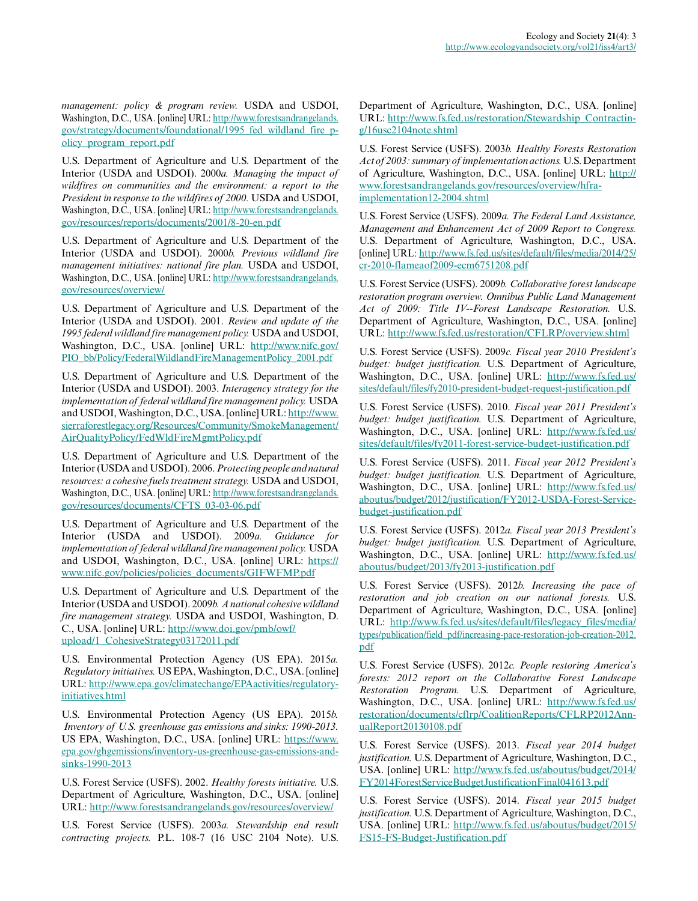*management: policy & program review.* USDA and USDOI, Washington, D.C., USA. [online] URL: [http://www.forestsandrangelands.](http://www.forestsandrangelands.gov/strategy/documents/foundational/1995_fed_wildland_fire_policy_program_report.pdf) [gov/strategy/documents/foundational/1995\\_fed\\_wildland\\_fire\\_p](http://www.forestsandrangelands.gov/strategy/documents/foundational/1995_fed_wildland_fire_policy_program_report.pdf)[olicy\\_program\\_report.pdf](http://www.forestsandrangelands.gov/strategy/documents/foundational/1995_fed_wildland_fire_policy_program_report.pdf)

U.S. Department of Agriculture and U.S. Department of the Interior (USDA and USDOI). 2000*a. Managing the impact of wildfires on communities and the environment: a report to the President in response to the wildfires of 2000.* USDA and USDOI, Washington, D.C., USA. [online] URL: [http://www.forestsandrangelands.](http://www.forestsandrangelands.gov/resources/reports/documents/2001/8-20-en.pdf) [gov/resources/reports/documents/2001/8-20-en.pdf](http://www.forestsandrangelands.gov/resources/reports/documents/2001/8-20-en.pdf)

U.S. Department of Agriculture and U.S. Department of the Interior (USDA and USDOI). 2000*b. Previous wildland fire management initiatives: national fire plan.* USDA and USDOI, Washington, D.C., USA. [online] URL: [http://www.forestsandrangelands.](http://www.forestsandrangelands.gov/resources/overview/) [gov/resources/overview/](http://www.forestsandrangelands.gov/resources/overview/)

U.S. Department of Agriculture and U.S. Department of the Interior (USDA and USDOI). 2001. *Review and update of the 1995 federal wildland fire management policy.* USDA and USDOI, Washington, D.C., USA. [online] URL: [http://www.nifc.gov/](http://www.nifc.gov/PIO_bb/Policy/FederalWildlandFireManagementPolicy_2001.pdf) [PIO\\_bb/Policy/FederalWildlandFireManagementPolicy\\_2001.pdf](http://www.nifc.gov/PIO_bb/Policy/FederalWildlandFireManagementPolicy_2001.pdf)

U.S. Department of Agriculture and U.S. Department of the Interior (USDA and USDOI). 2003. *Interagency strategy for the implementation of federal wildland fire management policy.* USDA and USDOI, Washington, D.C., USA. [online] URL: [http://www.](http://www.sierraforestlegacy.org/Resources/Community/SmokeManagement/AirQualityPolicy/FedWldFireMgmtPolicy.pdf) [sierraforestlegacy.org/Resources/Community/SmokeManagement/](http://www.sierraforestlegacy.org/Resources/Community/SmokeManagement/AirQualityPolicy/FedWldFireMgmtPolicy.pdf) [AirQualityPolicy/FedWldFireMgmtPolicy.pdf](http://www.sierraforestlegacy.org/Resources/Community/SmokeManagement/AirQualityPolicy/FedWldFireMgmtPolicy.pdf)

U.S. Department of Agriculture and U.S. Department of the Interior (USDA and USDOI). 2006. *Protecting people and natural resources: a cohesive fuels treatment strategy.* USDA and USDOI, Washington, D.C., USA. [online] URL: [http://www.forestsandrangelands.](http://www.forestsandrangelands.gov/resources/documents/CFTS_03-03-06.pdf) [gov/resources/documents/CFTS\\_03-03-06.pdf](http://www.forestsandrangelands.gov/resources/documents/CFTS_03-03-06.pdf)

U.S. Department of Agriculture and U.S. Department of the Interior (USDA and USDOI). 2009*a. Guidance for implementation of federal wildland fire management policy.* USDA and USDOI, Washington, D.C., USA. [online] URL: [https://](https://www.nifc.gov/policies/policies_documents/GIFWFMP.pdf) [www.nifc.gov/policies/policies\\_documents/GIFWFMP.pdf](https://www.nifc.gov/policies/policies_documents/GIFWFMP.pdf)

U.S. Department of Agriculture and U.S. Department of the Interior (USDA and USDOI). 2009*b. A national cohesive wildland fire management strategy.* USDA and USDOI, Washington, D. C., USA. [online] URL: [http://www.doi.gov/pmb/owf/](http://www.doi.gov/pmb/owf/upload/1_CohesiveStrategy03172011.pdf) [upload/1\\_CohesiveStrategy03172011.pdf](http://www.doi.gov/pmb/owf/upload/1_CohesiveStrategy03172011.pdf)

U.S. Environmental Protection Agency (US EPA). 2015*a. Regulatory initiatives.* US EPA, Washington, D.C., USA. [online] URL: [http://www.epa.gov/climatechange/EPAactivities/regulatory](http://www.epa.gov/climatechange/EPAactivities/regulatory-initiatives.html)[initiatives.html](http://www.epa.gov/climatechange/EPAactivities/regulatory-initiatives.html)

U.S. Environmental Protection Agency (US EPA). 2015*b. Inventory of U.S. greenhouse gas emissions and sinks: 1990-2013.* US EPA, Washington, D.C., USA. [online] URL: [https://www.](https://www.epa.gov/ghgemissions/inventory-us-greenhouse-gas-emissions-and-sinks-1990-2013) [epa.gov/ghgemissions/inventory-us-greenhouse-gas-emissions-and](https://www.epa.gov/ghgemissions/inventory-us-greenhouse-gas-emissions-and-sinks-1990-2013)[sinks-1990-2013](https://www.epa.gov/ghgemissions/inventory-us-greenhouse-gas-emissions-and-sinks-1990-2013)

U.S. Forest Service (USFS). 2002. *Healthy forests initiative.* U.S. Department of Agriculture, Washington, D.C., USA. [online] URL: <http://www.forestsandrangelands.gov/resources/overview/>

U.S. Forest Service (USFS). 2003*a. Stewardship end result contracting projects.* P.L. 108-7 (16 USC 2104 Note). U.S. Department of Agriculture, Washington, D.C., USA. [online] URL: [http://www.fs.fed.us/restoration/Stewardship\\_Contractin](http://www.fs.fed.us/restoration/Stewardship_Contracting/16usc2104note.shtml)[g/16usc2104note.shtml](http://www.fs.fed.us/restoration/Stewardship_Contracting/16usc2104note.shtml)

U.S. Forest Service (USFS). 2003*b. Healthy Forests Restoration Act of 2003: summary of implementation actions.* U.S. Department of Agriculture, Washington, D.C., USA. [online] URL: [http://](http://www.forestsandrangelands.gov/resources/overview/hfra-implementation12-2004.shtml) [www.forestsandrangelands.gov/resources/overview/hfra](http://www.forestsandrangelands.gov/resources/overview/hfra-implementation12-2004.shtml)[implementation12-2004.shtml](http://www.forestsandrangelands.gov/resources/overview/hfra-implementation12-2004.shtml) 

U.S. Forest Service (USFS). 2009*a. The Federal Land Assistance, Management and Enhancement Act of 2009 Report to Congress.* U.S. Department of Agriculture, Washington, D.C., USA. [online] URL: [http://www.fs.fed.us/sites/default/files/media/2014/25/](http://www.fs.fed.us/sites/default/files/media/2014/25/cr-2010-flameaof2009-ecm6751208.pdf) [cr-2010-flameaof2009-ecm6751208.pdf](http://www.fs.fed.us/sites/default/files/media/2014/25/cr-2010-flameaof2009-ecm6751208.pdf)

U.S. Forest Service (USFS). 2009*b. Collaborative forest landscape restoration program overview. Omnibus Public Land Management Act of 2009: Title IV--Forest Landscape Restoration.* U.S. Department of Agriculture, Washington, D.C., USA. [online] URL:<http://www.fs.fed.us/restoration/CFLRP/overview.shtml>

U.S. Forest Service (USFS). 2009*c. Fiscal year 2010 President's budget: budget justification.* U.S. Department of Agriculture, Washington, D.C., USA. [online] URL: [http://www.fs.fed.us/](http://www.fs.fed.us/sites/default/files/fy2010-president-budget-request-justification.pdf) [sites/default/files/fy2010-president-budget-request-justification.pdf](http://www.fs.fed.us/sites/default/files/fy2010-president-budget-request-justification.pdf)

U.S. Forest Service (USFS). 2010. *Fiscal year 2011 President's budget: budget justification.* U.S. Department of Agriculture, Washington, D.C., USA. [online] URL: [http://www.fs.fed.us/](http://www.fs.fed.us/sites/default/files/fy2011-forest-service-budget-justification.pdf) [sites/default/files/fy2011-forest-service-budget-justification.pdf](http://www.fs.fed.us/sites/default/files/fy2011-forest-service-budget-justification.pdf)

U.S. Forest Service (USFS). 2011. *Fiscal year 2012 President's budget: budget justification.* U.S. Department of Agriculture, Washington, D.C., USA. [online] URL: [http://www.fs.fed.us/](http://www.fs.fed.us/aboutus/budget/2012/justification/FY2012-USDA-Forest-Service-budget-justification.pdf) [aboutus/budget/2012/justification/FY2012-USDA-Forest-Service](http://www.fs.fed.us/aboutus/budget/2012/justification/FY2012-USDA-Forest-Service-budget-justification.pdf)[budget-justification.pdf](http://www.fs.fed.us/aboutus/budget/2012/justification/FY2012-USDA-Forest-Service-budget-justification.pdf)

U.S. Forest Service (USFS). 2012*a. Fiscal year 2013 President's budget: budget justification.* U.S. Department of Agriculture, Washington, D.C., USA. [online] URL: [http://www.fs.fed.us/](http://www.fs.fed.us/aboutus/budget/2013/fy2013-justification.pdf) [aboutus/budget/2013/fy2013-justification.pdf](http://www.fs.fed.us/aboutus/budget/2013/fy2013-justification.pdf)

U.S. Forest Service (USFS). 2012*b. Increasing the pace of restoration and job creation on our national forests.* U.S. Department of Agriculture, Washington, D.C., USA. [online] URL: [http://www.fs.fed.us/sites/default/files/legacy\\_files/media/](http://www.fs.fed.us/sites/default/files/legacy_files/media/types/publication/field_pdf/increasing-pace-restoration-job-creation-2012.pdf) [types/publication/field\\_pdf/increasing-pace-restoration-job-creation-2012.](http://www.fs.fed.us/sites/default/files/legacy_files/media/types/publication/field_pdf/increasing-pace-restoration-job-creation-2012.pdf) [pdf](http://www.fs.fed.us/sites/default/files/legacy_files/media/types/publication/field_pdf/increasing-pace-restoration-job-creation-2012.pdf)

U.S. Forest Service (USFS). 2012*c. People restoring America's forests: 2012 report on the Collaborative Forest Landscape Restoration Program.* U.S. Department of Agriculture, Washington, D.C., USA. [online] URL: [http://www.fs.fed.us/](http://www.fs.fed.us/restoration/documents/cflrp/CoalitionReports/CFLRP2012AnnualReport20130108.pdf) [restoration/documents/cflrp/CoalitionReports/CFLRP2012Ann](http://www.fs.fed.us/restoration/documents/cflrp/CoalitionReports/CFLRP2012AnnualReport20130108.pdf)[ualReport20130108.pdf](http://www.fs.fed.us/restoration/documents/cflrp/CoalitionReports/CFLRP2012AnnualReport20130108.pdf)

U.S. Forest Service (USFS). 2013. *Fiscal year 2014 budget justification.* U.S. Department of Agriculture, Washington, D.C., USA. [online] URL: [http://www.fs.fed.us/aboutus/budget/2014/](http://www.fs.fed.us/aboutus/budget/2014/FY2014ForestServiceBudgetJustificationFinal041613.pdf) [FY2014ForestServiceBudgetJustificationFinal041613.pdf](http://www.fs.fed.us/aboutus/budget/2014/FY2014ForestServiceBudgetJustificationFinal041613.pdf)

U.S. Forest Service (USFS). 2014. *Fiscal year 2015 budget justification.* U.S. Department of Agriculture, Washington, D.C., USA. [online] URL: [http://www.fs.fed.us/aboutus/budget/2015/](http://www.fs.fed.us/aboutus/budget/2015/FS15-FS-Budget-Justification.pdf) [FS15-FS-Budget-Justification.pdf](http://www.fs.fed.us/aboutus/budget/2015/FS15-FS-Budget-Justification.pdf)